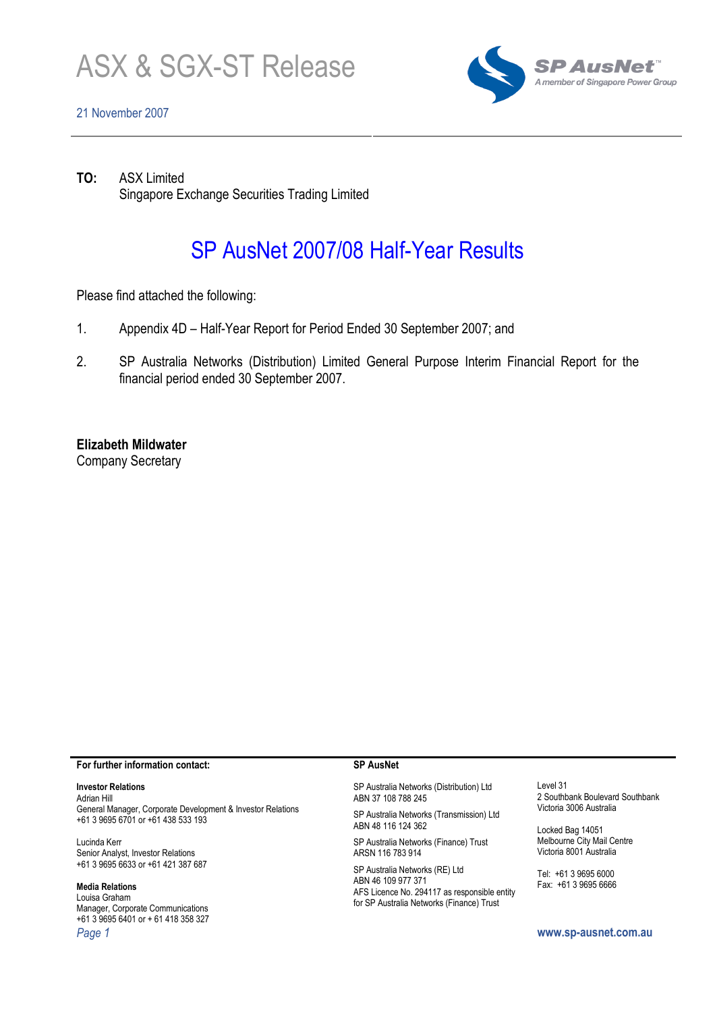

## 21 November 2007



TO: ASX Limited Singapore Exchange Securities Trading Limited

# SP AusNet 2007/08 Half-Year Results

Please find attached the following:

- 1. Appendix 4D Half-Year Report for Period Ended 30 September 2007; and
- 2. SP Australia Networks (Distribution) Limited General Purpose Interim Financial Report for the financial period ended 30 September 2007.

Elizabeth Mildwater

Company Secretary

#### For further information contact:

### Investor Relations

Adrian Hill General Manager, Corporate Development & Investor Relations +61 3 9695 6701 or +61 438 533 193

Lucinda Kerr Senior Analyst, Investor Relations +61 3 9695 6633 or +61 421 387 687

### Media Relations

Louisa Graham Manager, Corporate Communications +61 3 9695 6401 or + 61 418 358 327 Page 1 www.sp-ausnet.com.au

#### SP AusNet

SP Australia Networks (Distribution) Ltd ABN 37 108 788 245

SP Australia Networks (Transmission) Ltd ABN 48 116 124 362

SP Australia Networks (Finance) Trust ARSN 116 783 914

SP Australia Networks (RE) Ltd ABN 46 109 977 371 AFS Licence No. 294117 as responsible entity for SP Australia Networks (Finance) Trust

Level 31 2 Southbank Boulevard Southbank Victoria 3006 Australia

Locked Bag 14051 Melbourne City Mail Centre Victoria 8001 Australia

Tel: +61 3 9695 6000 Fax: +61 3 9695 6666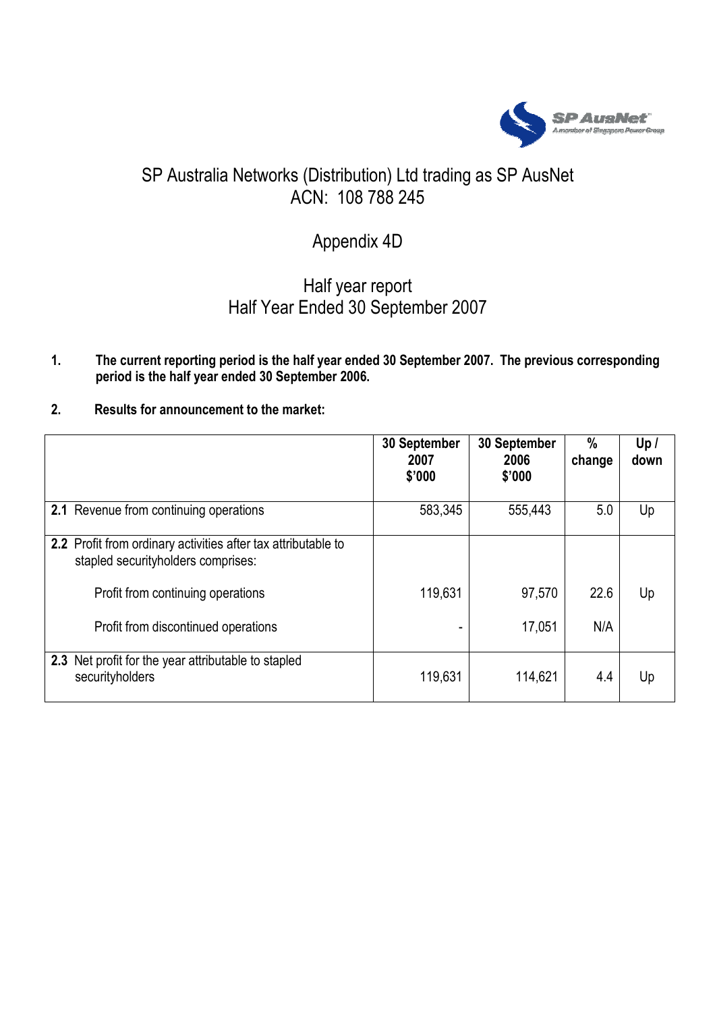

# SP Australia Networks (Distribution) Ltd trading as SP AusNet ACN: 108 788 245

# Appendix 4D

# Half year report Half Year Ended 30 September 2007

# 1. The current reporting period is the half year ended 30 September 2007. The previous corresponding period is the half year ended 30 September 2006.

2. Results for announcement to the market:

|                                                                                                     | 30 September<br>2007<br>\$'000 | 30 September<br>2006<br>\$'000 | $\frac{0}{0}$<br>change | Up /<br>down |
|-----------------------------------------------------------------------------------------------------|--------------------------------|--------------------------------|-------------------------|--------------|
| 2.1 Revenue from continuing operations                                                              | 583,345                        | 555,443                        | 5.0                     | Up           |
| 2.2 Profit from ordinary activities after tax attributable to<br>stapled securityholders comprises: |                                |                                |                         |              |
| Profit from continuing operations                                                                   | 119,631                        | 97,570                         | 22.6                    | Up           |
| Profit from discontinued operations                                                                 |                                | 17,051                         | N/A                     |              |
| 2.3 Net profit for the year attributable to stapled<br>securityholders                              | 119,631                        | 114,621                        | 4.4                     | Up           |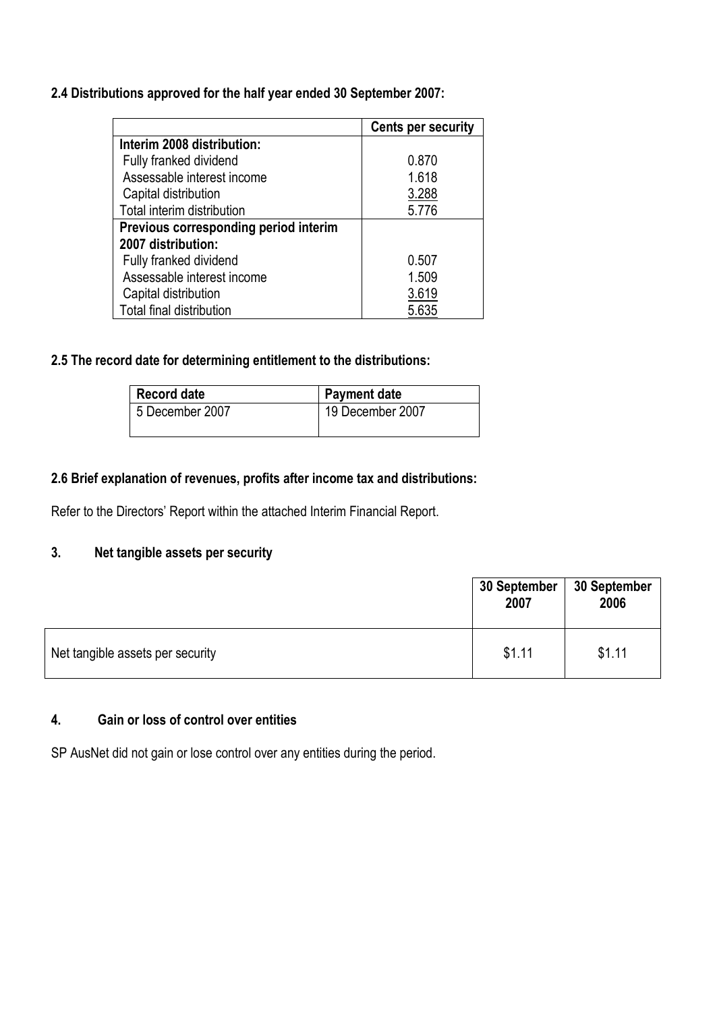# 2.4 Distributions approved for the half year ended 30 September 2007:

|                                       | <b>Cents per security</b> |
|---------------------------------------|---------------------------|
| Interim 2008 distribution:            |                           |
| Fully franked dividend                | 0.870                     |
| Assessable interest income            | 1.618                     |
| Capital distribution                  | 3.288                     |
| Total interim distribution            | 5.776                     |
| Previous corresponding period interim |                           |
| 2007 distribution:                    |                           |
| Fully franked dividend                | 0.507                     |
| Assessable interest income            | 1.509                     |
| Capital distribution                  | 3.619                     |
| Total final distribution              | 5.635                     |

# 2.5 The record date for determining entitlement to the distributions:

| <b>Record date</b> | <b>Payment date</b> |
|--------------------|---------------------|
| 5 December 2007    | 19 December 2007    |
|                    |                     |

# 2.6 Brief explanation of revenues, profits after income tax and distributions:

Refer to the Directors' Report within the attached Interim Financial Report.

# 3. Net tangible assets per security

|                                  | 30 September<br>2007 | 30 September<br>2006 |
|----------------------------------|----------------------|----------------------|
| Net tangible assets per security | \$1.11               | \$1.11               |

# 4. Gain or loss of control over entities

SP AusNet did not gain or lose control over any entities during the period.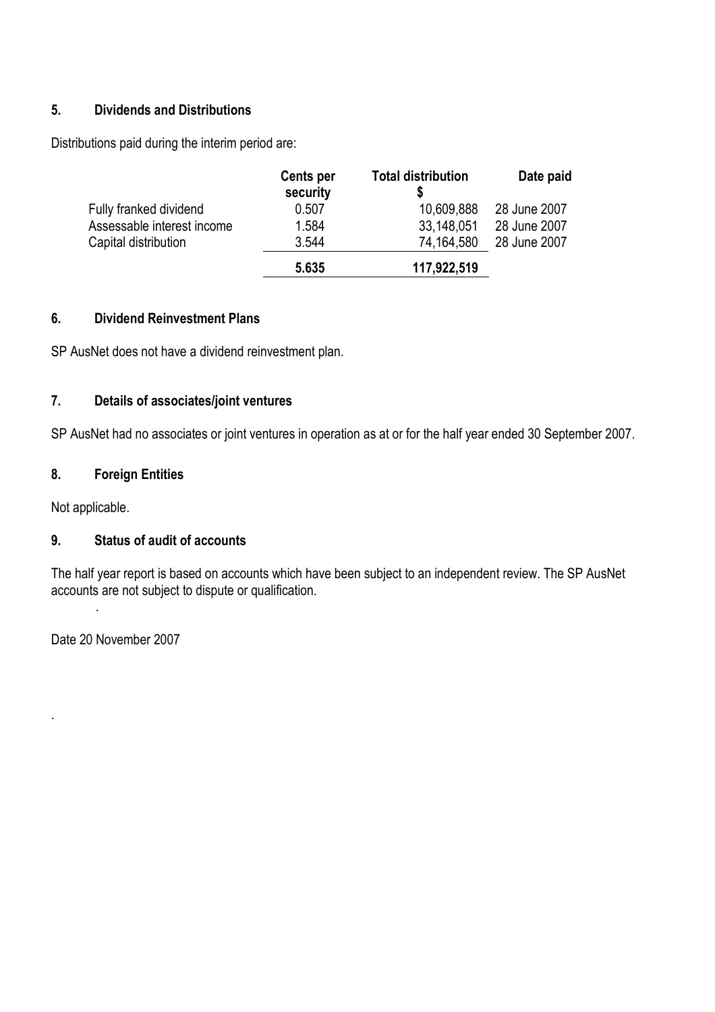# 5. Dividends and Distributions

Distributions paid during the interim period are:

|                            | Cents per<br>security | <b>Total distribution</b> | Date paid    |
|----------------------------|-----------------------|---------------------------|--------------|
| Fully franked dividend     | 0.507                 | 10,609,888                | 28 June 2007 |
| Assessable interest income | 1.584                 | 33,148,051                | 28 June 2007 |
| Capital distribution       | 3.544                 | 74,164,580                | 28 June 2007 |
|                            | 5.635                 | 117,922,519               |              |

## 6. Dividend Reinvestment Plans

SP AusNet does not have a dividend reinvestment plan.

# 7. Details of associates/joint ventures

SP AusNet had no associates or joint ventures in operation as at or for the half year ended 30 September 2007.

# 8. Foreign Entities

Not applicable.

# 9. Status of audit of accounts

The half year report is based on accounts which have been subject to an independent review. The SP AusNet accounts are not subject to dispute or qualification.

Date 20 November 2007

.

.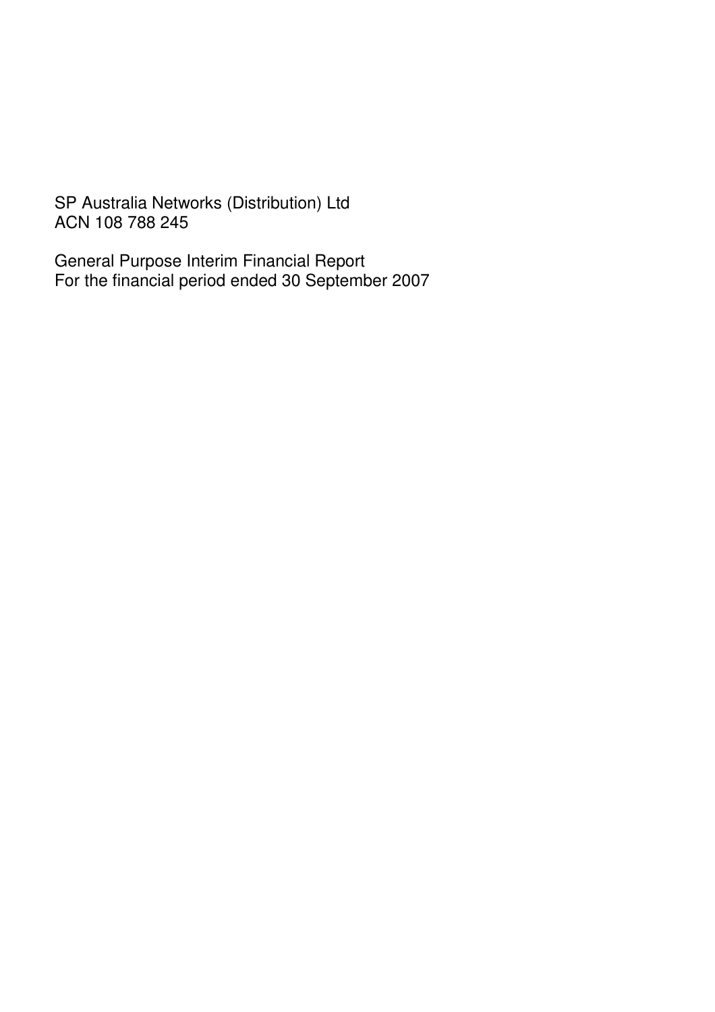SP Australia Networks (Distribution) Ltd ACN 108 788 245

General Purpose Interim Financial Report For the financial period ended 30 September 2007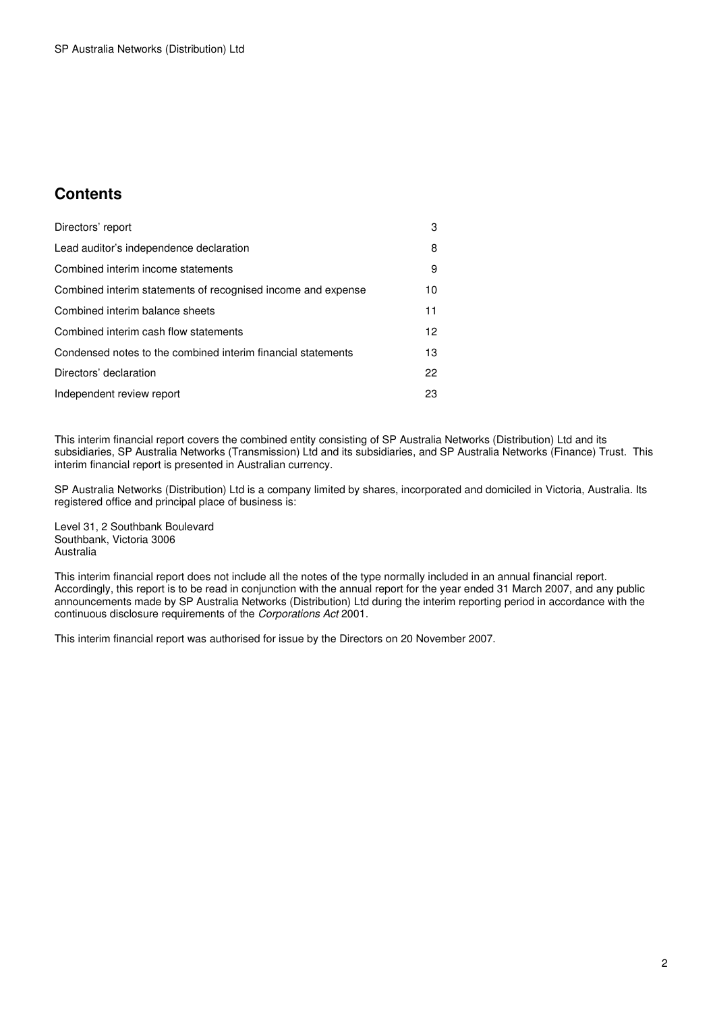# **Contents**

| Directors' report                                            | 3               |
|--------------------------------------------------------------|-----------------|
| Lead auditor's independence declaration                      | 8               |
| Combined interim income statements                           | 9               |
| Combined interim statements of recognised income and expense | 10              |
| Combined interim balance sheets                              | 11              |
| Combined interim cash flow statements                        | 12 <sup>2</sup> |
| Condensed notes to the combined interim financial statements | 13              |
| Directors' declaration                                       | 22              |
| Independent review report                                    | 23              |

This interim financial report covers the combined entity consisting of SP Australia Networks (Distribution) Ltd and its subsidiaries, SP Australia Networks (Transmission) Ltd and its subsidiaries, and SP Australia Networks (Finance) Trust. This interim financial report is presented in Australian currency.

SP Australia Networks (Distribution) Ltd is a company limited by shares, incorporated and domiciled in Victoria, Australia. Its registered office and principal place of business is:

Level 31, 2 Southbank Boulevard Southbank, Victoria 3006 Australia

This interim financial report does not include all the notes of the type normally included in an annual financial report. Accordingly, this report is to be read in conjunction with the annual report for the year ended 31 March 2007, and any public announcements made by SP Australia Networks (Distribution) Ltd during the interim reporting period in accordance with the continuous disclosure requirements of the Corporations Act 2001.

This interim financial report was authorised for issue by the Directors on 20 November 2007.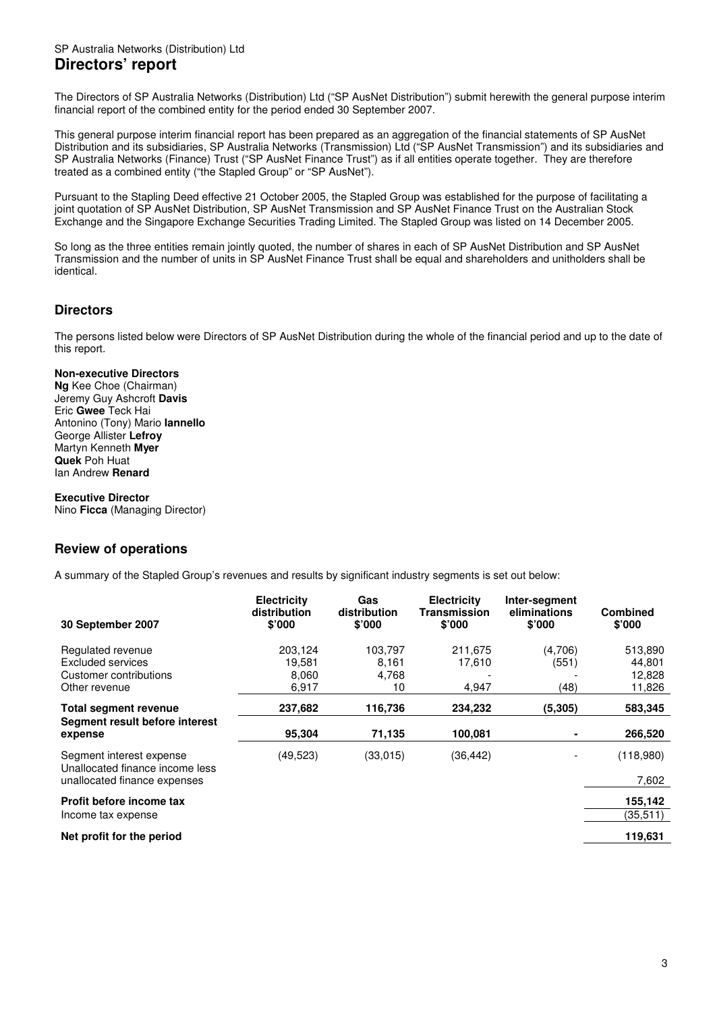## SP Australia Networks (Distribution) Ltd **Directors' report**

The Directors of SP Australia Networks (Distribution) Ltd ("SP AusNet Distribution") submit herewith the general purpose interim financial report of the combined entity for the period ended 30 September 2007.

This general purpose interim financial report has been prepared as an aggregation of the financial statements of SP AusNet Distribution and its subsidiaries, SP Australia Networks (Transmission) Ltd ("SP AusNet Transmission") and its subsidiaries and SP Australia Networks (Finance) Trust ("SP AusNet Finance Trust") as if all entities operate together. They are therefore treated as a combined entity ("the Stapled Group" or "SP AusNet").

Pursuant to the Stapling Deed effective 21 October 2005, the Stapled Group was established for the purpose of facilitating a joint quotation of SP AusNet Distribution, SP AusNet Transmission and SP AusNet Finance Trust on the Australian Stock Exchange and the Singapore Exchange Securities Trading Limited. The Stapled Group was listed on 14 December 2005.

So long as the three entities remain jointly quoted, the number of shares in each of SP AusNet Distribution and SP AusNet Transmission and the number of units in SP AusNet Finance Trust shall be equal and shareholders and unitholders shall be identical.

## **Directors**

The persons listed below were Directors of SP AusNet Distribution during the whole of the financial period and up to the date of this report.

## **Non-executive Directors**

**Ng** Kee Choe (Chairman) Jeremy Guy Ashcroft **Davis**  Eric **Gwee** Teck Hai Antonino (Tony) Mario **Iannello**  George Allister **Lefroy**  Martyn Kenneth **Myer Quek** Poh Huat Ian Andrew **Renard** 

### **Executive Director**

Nino **Ficca** (Managing Director)

## **Review of operations**

A summary of the Stapled Group's revenues and results by significant industry segments is set out below:

| 30 September 2007                                                                           | <b>Electricity</b><br>distribution<br>\$'000 | Gas<br>distribution<br>\$'000   | <b>Electricity</b><br>Transmission<br>\$'000 | Inter-segment<br>eliminations<br>$$^{\prime}000$ | <b>Combined</b><br>\$'000             |
|---------------------------------------------------------------------------------------------|----------------------------------------------|---------------------------------|----------------------------------------------|--------------------------------------------------|---------------------------------------|
| Regulated revenue<br>Excluded services<br>Customer contributions<br>Other revenue           | 203,124<br>19.581<br>8,060<br>6,917          | 103,797<br>8,161<br>4,768<br>10 | 211,675<br>17,610<br>4,947                   | (4,706)<br>(551)<br>(48)                         | 513,890<br>44,801<br>12,828<br>11,826 |
| <b>Total segment revenue</b><br>Segment result before interest<br>expense                   | 237,682<br>95,304                            | 116,736<br>71,135               | 234,232<br>100,081                           | (5, 305)                                         | 583,345<br>266,520                    |
| Segment interest expense<br>Unallocated finance income less<br>unallocated finance expenses | (49, 523)                                    | (33,015)                        | (36, 442)                                    |                                                  | (118,980)<br>7,602                    |
| Profit before income tax<br>Income tax expense                                              |                                              |                                 |                                              |                                                  | 155,142<br>(35,511)                   |
| Net profit for the period                                                                   |                                              |                                 |                                              |                                                  | 119,631                               |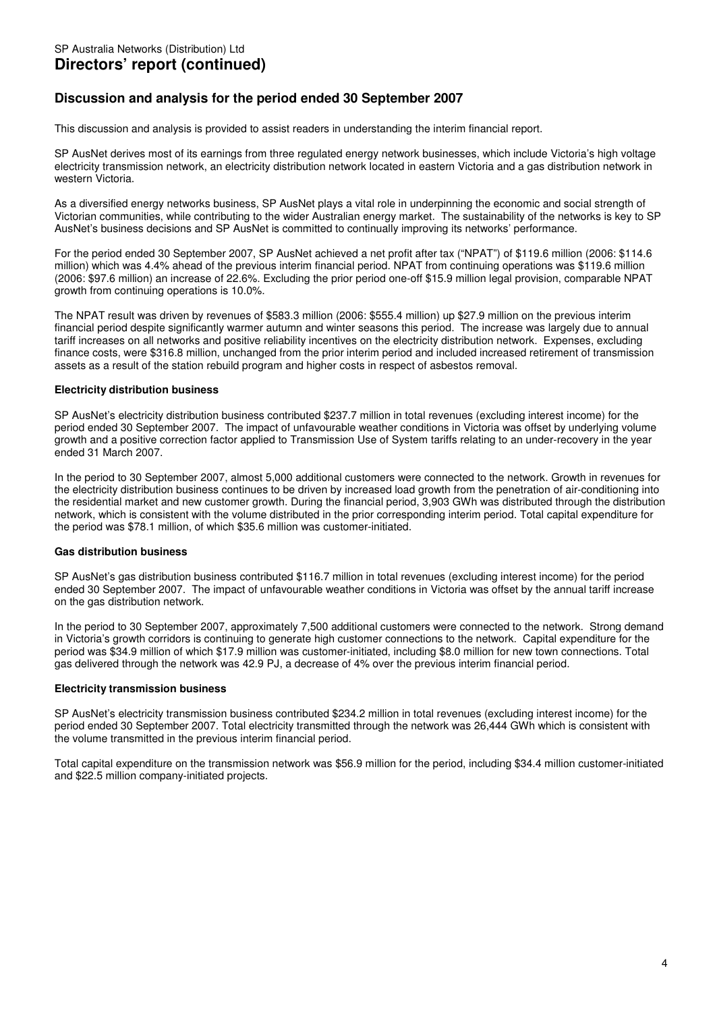# **Discussion and analysis for the period ended 30 September 2007**

This discussion and analysis is provided to assist readers in understanding the interim financial report.

SP AusNet derives most of its earnings from three regulated energy network businesses, which include Victoria's high voltage electricity transmission network, an electricity distribution network located in eastern Victoria and a gas distribution network in western Victoria.

As a diversified energy networks business, SP AusNet plays a vital role in underpinning the economic and social strength of Victorian communities, while contributing to the wider Australian energy market. The sustainability of the networks is key to SP AusNet's business decisions and SP AusNet is committed to continually improving its networks' performance.

For the period ended 30 September 2007, SP AusNet achieved a net profit after tax ("NPAT") of \$119.6 million (2006: \$114.6 million) which was 4.4% ahead of the previous interim financial period. NPAT from continuing operations was \$119.6 million (2006: \$97.6 million) an increase of 22.6%. Excluding the prior period one-off \$15.9 million legal provision, comparable NPAT growth from continuing operations is 10.0%.

The NPAT result was driven by revenues of \$583.3 million (2006: \$555.4 million) up \$27.9 million on the previous interim financial period despite significantly warmer autumn and winter seasons this period. The increase was largely due to annual tariff increases on all networks and positive reliability incentives on the electricity distribution network. Expenses, excluding finance costs, were \$316.8 million, unchanged from the prior interim period and included increased retirement of transmission assets as a result of the station rebuild program and higher costs in respect of asbestos removal.

### **Electricity distribution business**

SP AusNet's electricity distribution business contributed \$237.7 million in total revenues (excluding interest income) for the period ended 30 September 2007. The impact of unfavourable weather conditions in Victoria was offset by underlying volume growth and a positive correction factor applied to Transmission Use of System tariffs relating to an under-recovery in the year ended 31 March 2007.

In the period to 30 September 2007, almost 5,000 additional customers were connected to the network. Growth in revenues for the electricity distribution business continues to be driven by increased load growth from the penetration of air-conditioning into the residential market and new customer growth. During the financial period, 3,903 GWh was distributed through the distribution network, which is consistent with the volume distributed in the prior corresponding interim period. Total capital expenditure for the period was \$78.1 million, of which \$35.6 million was customer-initiated.

### **Gas distribution business**

SP AusNet's gas distribution business contributed \$116.7 million in total revenues (excluding interest income) for the period ended 30 September 2007. The impact of unfavourable weather conditions in Victoria was offset by the annual tariff increase on the gas distribution network.

In the period to 30 September 2007, approximately 7,500 additional customers were connected to the network. Strong demand in Victoria's growth corridors is continuing to generate high customer connections to the network. Capital expenditure for the period was \$34.9 million of which \$17.9 million was customer-initiated, including \$8.0 million for new town connections. Total gas delivered through the network was 42.9 PJ, a decrease of 4% over the previous interim financial period.

#### **Electricity transmission business**

SP AusNet's electricity transmission business contributed \$234.2 million in total revenues (excluding interest income) for the period ended 30 September 2007. Total electricity transmitted through the network was 26,444 GWh which is consistent with the volume transmitted in the previous interim financial period.

Total capital expenditure on the transmission network was \$56.9 million for the period, including \$34.4 million customer-initiated and \$22.5 million company-initiated projects.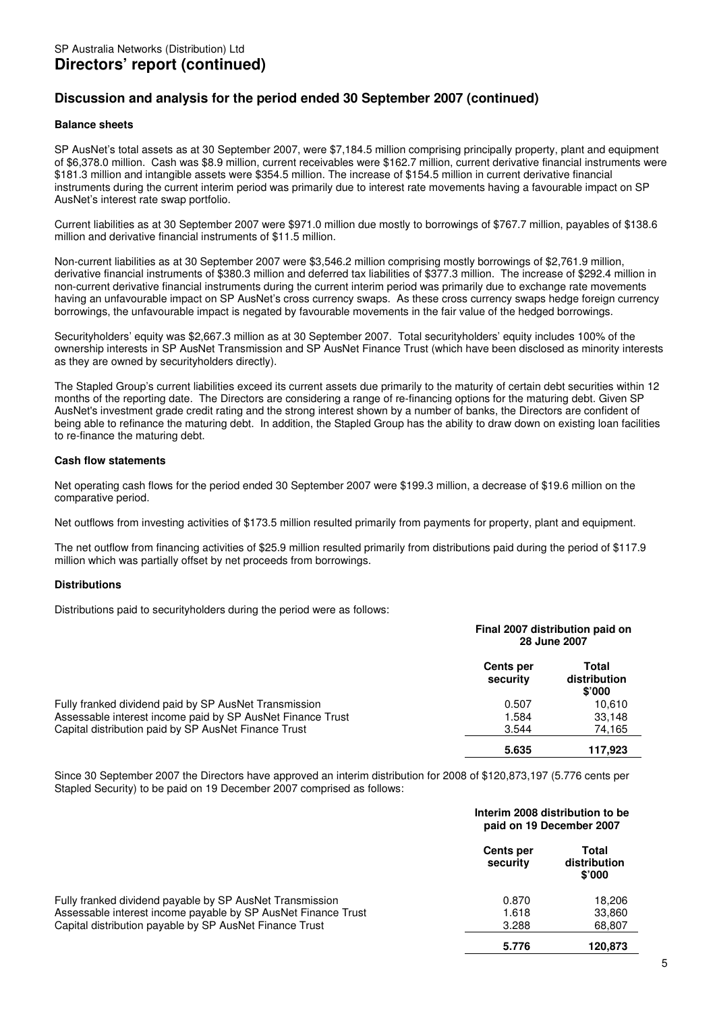# **Discussion and analysis for the period ended 30 September 2007 (continued)**

### **Balance sheets**

SP AusNet's total assets as at 30 September 2007, were \$7,184.5 million comprising principally property, plant and equipment of \$6,378.0 million. Cash was \$8.9 million, current receivables were \$162.7 million, current derivative financial instruments were \$181.3 million and intangible assets were \$354.5 million. The increase of \$154.5 million in current derivative financial instruments during the current interim period was primarily due to interest rate movements having a favourable impact on SP AusNet's interest rate swap portfolio.

Current liabilities as at 30 September 2007 were \$971.0 million due mostly to borrowings of \$767.7 million, payables of \$138.6 million and derivative financial instruments of \$11.5 million.

Non-current liabilities as at 30 September 2007 were \$3,546.2 million comprising mostly borrowings of \$2,761.9 million, derivative financial instruments of \$380.3 million and deferred tax liabilities of \$377.3 million. The increase of \$292.4 million in non-current derivative financial instruments during the current interim period was primarily due to exchange rate movements having an unfavourable impact on SP AusNet's cross currency swaps. As these cross currency swaps hedge foreign currency borrowings, the unfavourable impact is negated by favourable movements in the fair value of the hedged borrowings.

Securityholders' equity was \$2,667.3 million as at 30 September 2007. Total securityholders' equity includes 100% of the ownership interests in SP AusNet Transmission and SP AusNet Finance Trust (which have been disclosed as minority interests as they are owned by securityholders directly).

The Stapled Group's current liabilities exceed its current assets due primarily to the maturity of certain debt securities within 12 months of the reporting date. The Directors are considering a range of re-financing options for the maturing debt. Given SP AusNet's investment grade credit rating and the strong interest shown by a number of banks, the Directors are confident of being able to refinance the maturing debt. In addition, the Stapled Group has the ability to draw down on existing loan facilities to re-finance the maturing debt.

#### **Cash flow statements**

Net operating cash flows for the period ended 30 September 2007 were \$199.3 million, a decrease of \$19.6 million on the comparative period.

Net outflows from investing activities of \$173.5 million resulted primarily from payments for property, plant and equipment.

The net outflow from financing activities of \$25.9 million resulted primarily from distributions paid during the period of \$117.9 million which was partially offset by net proceeds from borrowings.

### **Distributions**

Distributions paid to securityholders during the period were as follows:

|                                                            | Final 2007 distribution paid on<br>28 June 2007 |                                 |  |
|------------------------------------------------------------|-------------------------------------------------|---------------------------------|--|
|                                                            | <b>Cents per</b><br>security                    | Total<br>distribution<br>\$'000 |  |
| Fully franked dividend paid by SP AusNet Transmission      | 0.507                                           | 10.610                          |  |
| Assessable interest income paid by SP AusNet Finance Trust | 1.584                                           | 33,148                          |  |
| Capital distribution paid by SP AusNet Finance Trust       | 3.544                                           | 74,165                          |  |
|                                                            | 5.635                                           | 117,923                         |  |

Since 30 September 2007 the Directors have approved an interim distribution for 2008 of \$120,873,197 (5.776 cents per Stapled Security) to be paid on 19 December 2007 comprised as follows:

|                                                               |                              | Interim 2008 distribution to be<br>paid on 19 December 2007 |  |  |
|---------------------------------------------------------------|------------------------------|-------------------------------------------------------------|--|--|
|                                                               | <b>Cents per</b><br>security | Total<br>distribution<br>$$^{\circ}000$                     |  |  |
| Fully franked dividend payable by SP AusNet Transmission      | 0.870                        | 18.206                                                      |  |  |
| Assessable interest income payable by SP AusNet Finance Trust | 1.618                        | 33,860                                                      |  |  |
| Capital distribution payable by SP AusNet Finance Trust       | 3.288                        | 68,807                                                      |  |  |
|                                                               | 5.776                        | 120.873                                                     |  |  |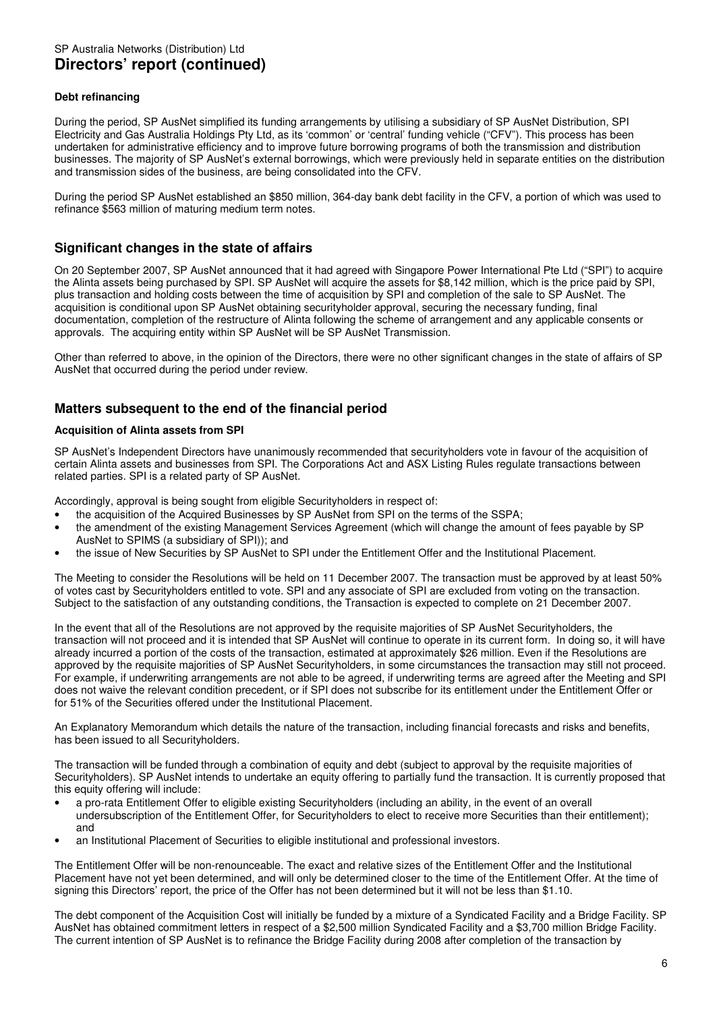### **Debt refinancing**

During the period, SP AusNet simplified its funding arrangements by utilising a subsidiary of SP AusNet Distribution, SPI Electricity and Gas Australia Holdings Pty Ltd, as its 'common' or 'central' funding vehicle ("CFV"). This process has been undertaken for administrative efficiency and to improve future borrowing programs of both the transmission and distribution businesses. The majority of SP AusNet's external borrowings, which were previously held in separate entities on the distribution and transmission sides of the business, are being consolidated into the CFV.

During the period SP AusNet established an \$850 million, 364-day bank debt facility in the CFV, a portion of which was used to refinance \$563 million of maturing medium term notes.

## **Significant changes in the state of affairs**

On 20 September 2007, SP AusNet announced that it had agreed with Singapore Power International Pte Ltd ("SPI") to acquire the Alinta assets being purchased by SPI. SP AusNet will acquire the assets for \$8,142 million, which is the price paid by SPI, plus transaction and holding costs between the time of acquisition by SPI and completion of the sale to SP AusNet. The acquisition is conditional upon SP AusNet obtaining securityholder approval, securing the necessary funding, final documentation, completion of the restructure of Alinta following the scheme of arrangement and any applicable consents or approvals. The acquiring entity within SP AusNet will be SP AusNet Transmission.

Other than referred to above, in the opinion of the Directors, there were no other significant changes in the state of affairs of SP AusNet that occurred during the period under review.

## **Matters subsequent to the end of the financial period**

### **Acquisition of Alinta assets from SPI**

SP AusNet's Independent Directors have unanimously recommended that securityholders vote in favour of the acquisition of certain Alinta assets and businesses from SPI. The Corporations Act and ASX Listing Rules regulate transactions between related parties. SPI is a related party of SP AusNet.

Accordingly, approval is being sought from eligible Securityholders in respect of:

- the acquisition of the Acquired Businesses by SP AusNet from SPI on the terms of the SSPA;
- the amendment of the existing Management Services Agreement (which will change the amount of fees payable by SP AusNet to SPIMS (a subsidiary of SPI)); and
- the issue of New Securities by SP AusNet to SPI under the Entitlement Offer and the Institutional Placement.

The Meeting to consider the Resolutions will be held on 11 December 2007. The transaction must be approved by at least 50% of votes cast by Securityholders entitled to vote. SPI and any associate of SPI are excluded from voting on the transaction. Subject to the satisfaction of any outstanding conditions, the Transaction is expected to complete on 21 December 2007.

In the event that all of the Resolutions are not approved by the requisite majorities of SP AusNet Securityholders, the transaction will not proceed and it is intended that SP AusNet will continue to operate in its current form. In doing so, it will have already incurred a portion of the costs of the transaction, estimated at approximately \$26 million. Even if the Resolutions are approved by the requisite majorities of SP AusNet Securityholders, in some circumstances the transaction may still not proceed. For example, if underwriting arrangements are not able to be agreed, if underwriting terms are agreed after the Meeting and SPI does not waive the relevant condition precedent, or if SPI does not subscribe for its entitlement under the Entitlement Offer or for 51% of the Securities offered under the Institutional Placement.

An Explanatory Memorandum which details the nature of the transaction, including financial forecasts and risks and benefits, has been issued to all Securityholders.

The transaction will be funded through a combination of equity and debt (subject to approval by the requisite majorities of Securityholders). SP AusNet intends to undertake an equity offering to partially fund the transaction. It is currently proposed that this equity offering will include:

- a pro-rata Entitlement Offer to eligible existing Securityholders (including an ability, in the event of an overall undersubscription of the Entitlement Offer, for Securityholders to elect to receive more Securities than their entitlement); and
- an Institutional Placement of Securities to eligible institutional and professional investors.

The Entitlement Offer will be non-renounceable. The exact and relative sizes of the Entitlement Offer and the Institutional Placement have not yet been determined, and will only be determined closer to the time of the Entitlement Offer. At the time of signing this Directors' report, the price of the Offer has not been determined but it will not be less than \$1.10.

The debt component of the Acquisition Cost will initially be funded by a mixture of a Syndicated Facility and a Bridge Facility. SP AusNet has obtained commitment letters in respect of a \$2,500 million Syndicated Facility and a \$3,700 million Bridge Facility. The current intention of SP AusNet is to refinance the Bridge Facility during 2008 after completion of the transaction by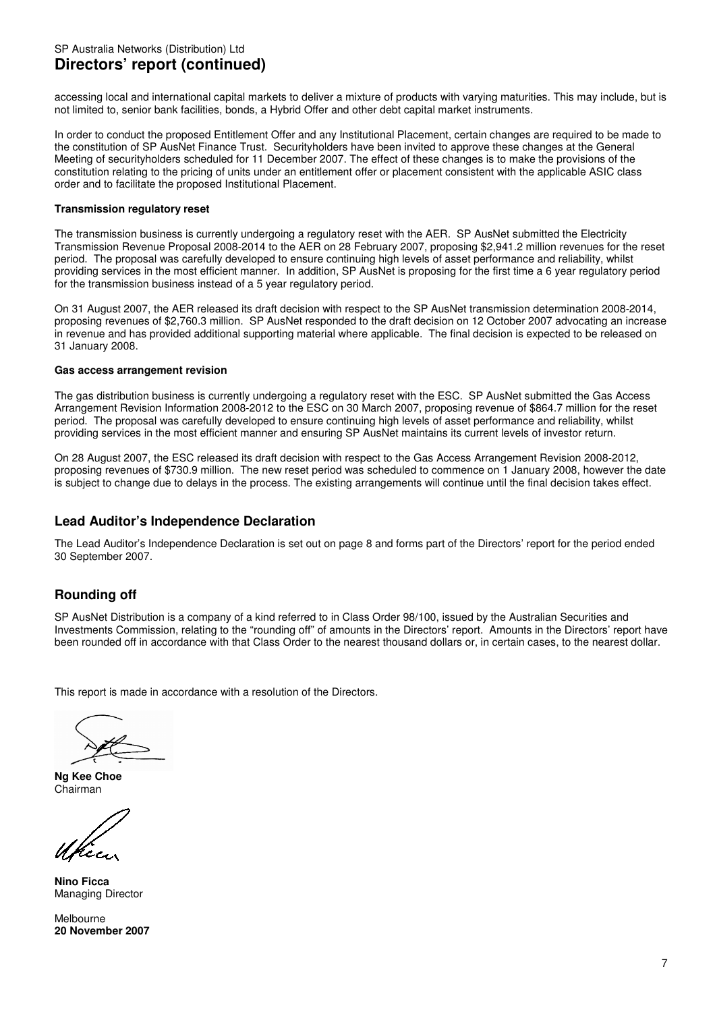accessing local and international capital markets to deliver a mixture of products with varying maturities. This may include, but is not limited to, senior bank facilities, bonds, a Hybrid Offer and other debt capital market instruments.

In order to conduct the proposed Entitlement Offer and any Institutional Placement, certain changes are required to be made to the constitution of SP AusNet Finance Trust. Securityholders have been invited to approve these changes at the General Meeting of securityholders scheduled for 11 December 2007. The effect of these changes is to make the provisions of the constitution relating to the pricing of units under an entitlement offer or placement consistent with the applicable ASIC class order and to facilitate the proposed Institutional Placement.

### **Transmission regulatory reset**

The transmission business is currently undergoing a regulatory reset with the AER. SP AusNet submitted the Electricity Transmission Revenue Proposal 2008-2014 to the AER on 28 February 2007, proposing \$2,941.2 million revenues for the reset period. The proposal was carefully developed to ensure continuing high levels of asset performance and reliability, whilst providing services in the most efficient manner. In addition, SP AusNet is proposing for the first time a 6 year regulatory period for the transmission business instead of a 5 year regulatory period.

On 31 August 2007, the AER released its draft decision with respect to the SP AusNet transmission determination 2008-2014, proposing revenues of \$2,760.3 million. SP AusNet responded to the draft decision on 12 October 2007 advocating an increase in revenue and has provided additional supporting material where applicable. The final decision is expected to be released on 31 January 2008.

### **Gas access arrangement revision**

The gas distribution business is currently undergoing a regulatory reset with the ESC. SP AusNet submitted the Gas Access Arrangement Revision Information 2008-2012 to the ESC on 30 March 2007, proposing revenue of \$864.7 million for the reset period. The proposal was carefully developed to ensure continuing high levels of asset performance and reliability, whilst providing services in the most efficient manner and ensuring SP AusNet maintains its current levels of investor return.

On 28 August 2007, the ESC released its draft decision with respect to the Gas Access Arrangement Revision 2008-2012, proposing revenues of \$730.9 million. The new reset period was scheduled to commence on 1 January 2008, however the date is subject to change due to delays in the process. The existing arrangements will continue until the final decision takes effect.

## **Lead Auditor's Independence Declaration**

The Lead Auditor's Independence Declaration is set out on page 8 and forms part of the Directors' report for the period ended 30 September 2007.

# **Rounding off**

SP AusNet Distribution is a company of a kind referred to in Class Order 98/100, issued by the Australian Securities and Investments Commission, relating to the "rounding off" of amounts in the Directors' report. Amounts in the Directors' report have been rounded off in accordance with that Class Order to the nearest thousand dollars or, in certain cases, to the nearest dollar.

This report is made in accordance with a resolution of the Directors.

**Ng Kee Choe**  Chairman

**Nino Ficca**  Managing Director

**Melbourne 20 November 2007**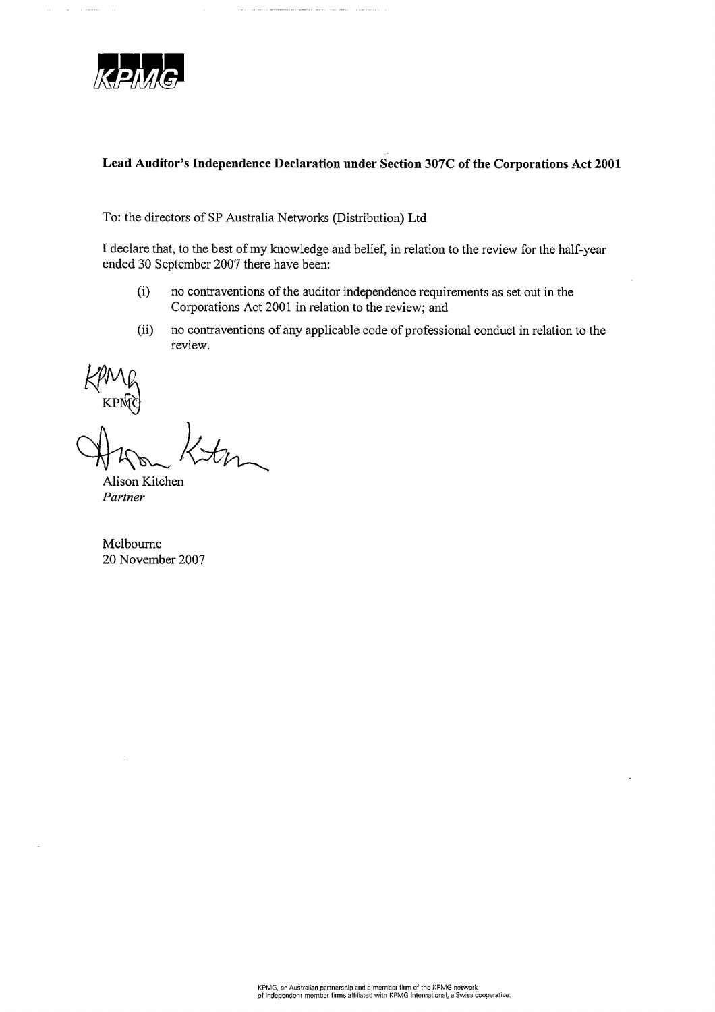

 $\mathcal{L}$ لتستدع

## Lead Auditor's Independence Declaration under Section 307C of the Corporations Act 2001

and a market management of the model and and a construction of

To: the directors of SP Australia Networks (Distribution) Ltd

I declare that, to the best of my knowledge and belief, in relation to the review for the half-year ended 30 September 2007 there have been:

- no contraventions of the auditor independence requirements as set out in the  $(i)$ Corporations Act 2001 in relation to the review; and
- $(ii)$ no contraventions of any applicable code of professional conduct in relation to the review.

 $\omega_{-}$ 

Alison Kitchen Partner

Melbourne 20 November 2007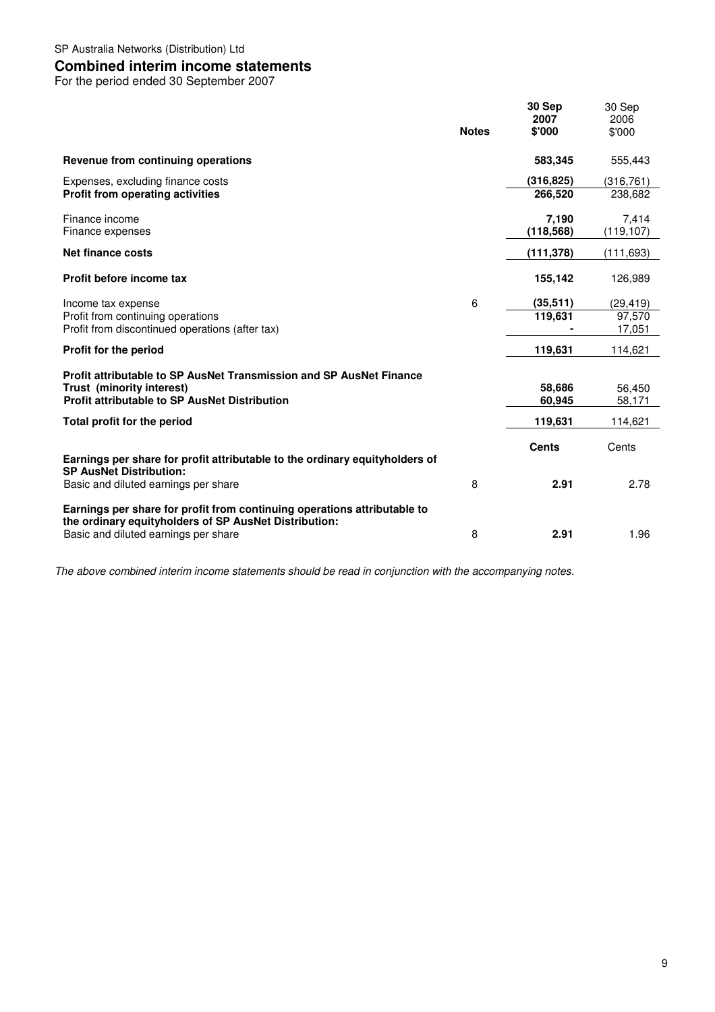## **Combined interim income statements**

For the period ended 30 September 2007

|                                                                                                                                                                           | <b>Notes</b> | 30 Sep<br>2007<br>\$'000 | 30 Sep<br>2006<br>\$'000     |
|---------------------------------------------------------------------------------------------------------------------------------------------------------------------------|--------------|--------------------------|------------------------------|
| Revenue from continuing operations                                                                                                                                        |              | 583.345                  | 555,443                      |
| Expenses, excluding finance costs<br><b>Profit from operating activities</b>                                                                                              |              | (316, 825)<br>266,520    | (316, 761)<br>238,682        |
| Finance income<br>Finance expenses                                                                                                                                        |              | 7,190<br>(118, 568)      | 7,414<br>(119, 107)          |
| Net finance costs                                                                                                                                                         |              | (111, 378)               | (111, 693)                   |
| Profit before income tax                                                                                                                                                  |              | 155,142                  | 126,989                      |
| Income tax expense<br>Profit from continuing operations<br>Profit from discontinued operations (after tax)                                                                | 6            | (35, 511)<br>119,631     | (29,419)<br>97.570<br>17,051 |
| Profit for the period                                                                                                                                                     |              | 119,631                  | 114,621                      |
| Profit attributable to SP AusNet Transmission and SP AusNet Finance<br>Trust (minority interest)<br><b>Profit attributable to SP AusNet Distribution</b>                  |              | 58,686<br>60,945         | 56,450<br>58,171             |
| Total profit for the period                                                                                                                                               |              | 119,631                  | 114,621                      |
| Earnings per share for profit attributable to the ordinary equityholders of<br><b>SP AusNet Distribution:</b>                                                             |              | <b>Cents</b>             | Cents                        |
| Basic and diluted earnings per share                                                                                                                                      | 8            | 2.91                     | 2.78                         |
| Earnings per share for profit from continuing operations attributable to<br>the ordinary equityholders of SP AusNet Distribution:<br>Basic and diluted earnings per share | 8            | 2.91                     | 1.96                         |
|                                                                                                                                                                           |              |                          |                              |

The above combined interim income statements should be read in conjunction with the accompanying notes.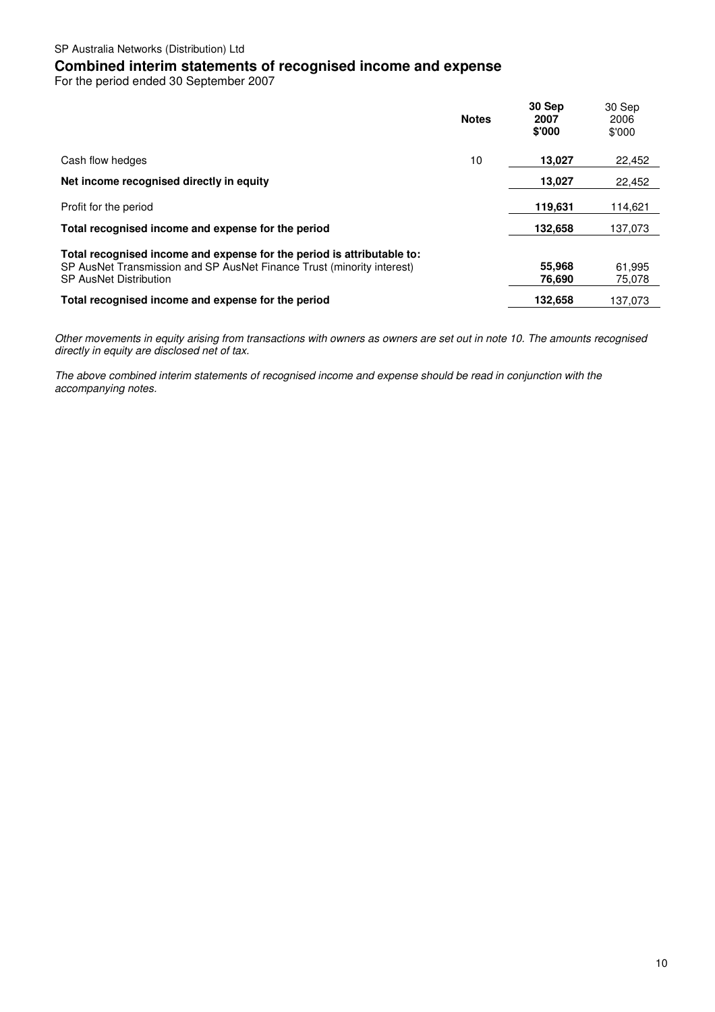# **Combined interim statements of recognised income and expense**

For the period ended 30 September 2007

|                                                                                                                                                                                   | <b>Notes</b> | 30 Sep<br>2007<br>\$'000 | 30 Sep<br>2006<br>\$'000 |
|-----------------------------------------------------------------------------------------------------------------------------------------------------------------------------------|--------------|--------------------------|--------------------------|
| Cash flow hedges                                                                                                                                                                  | 10           | 13,027                   | 22,452                   |
| Net income recognised directly in equity                                                                                                                                          |              | 13,027                   | 22,452                   |
| Profit for the period                                                                                                                                                             |              | 119.631                  | 114,621                  |
| Total recognised income and expense for the period                                                                                                                                |              | 132,658                  | 137,073                  |
| Total recognised income and expense for the period is attributable to:<br>SP AusNet Transmission and SP AusNet Finance Trust (minority interest)<br><b>SP AusNet Distribution</b> |              | 55,968<br>76,690         | 61,995<br>75.078         |
| Total recognised income and expense for the period                                                                                                                                |              | 132.658                  | 137.073                  |

Other movements in equity arising from transactions with owners as owners are set out in note 10. The amounts recognised directly in equity are disclosed net of tax.

The above combined interim statements of recognised income and expense should be read in conjunction with the accompanying notes.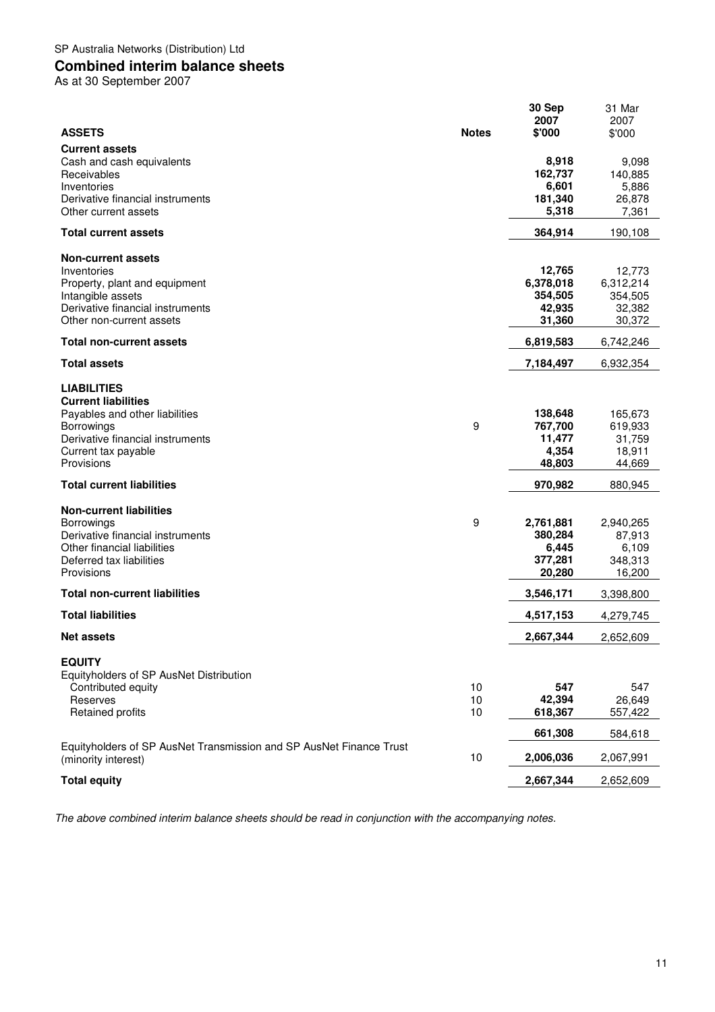## SP Australia Networks (Distribution) Ltd

# **Combined interim balance sheets**

As at 30 September 2007

| <b>ASSETS</b><br><b>Notes</b><br>\$'000<br>\$'000<br><b>Current assets</b><br>Cash and cash equivalents<br>8,918<br>9,098<br>140,885<br>Receivables<br>162,737<br>6,601<br>Inventories<br>5,886<br>Derivative financial instruments<br>181,340<br>26,878<br>5,318<br>Other current assets<br>7,361<br>364,914<br>190,108<br><b>Total current assets</b><br><b>Non-current assets</b><br>12,765<br>Inventories<br>12,773<br>Property, plant and equipment<br>6,378,018<br>6,312,214<br>354,505<br>Intangible assets<br>354,505<br>Derivative financial instruments<br>42,935<br>32,382<br>31,360<br>Other non-current assets<br>30,372<br><b>Total non-current assets</b><br>6,819,583<br>6,742,246<br><b>Total assets</b><br>7,184,497<br>6,932,354<br><b>LIABILITIES</b><br><b>Current liabilities</b><br>138,648<br>Payables and other liabilities<br>165,673<br>9<br>767,700<br><b>Borrowings</b><br>619,933<br>Derivative financial instruments<br>11,477<br>31,759<br>4,354<br>18,911<br>Current tax payable<br>Provisions<br>48,803<br>44,669<br><b>Total current liabilities</b><br>970,982<br>880,945<br><b>Non-current liabilities</b><br>9<br><b>Borrowings</b><br>2,761,881<br>2,940,265<br>Derivative financial instruments<br>380,284<br>87,913<br>Other financial liabilities<br>6,445<br>6,109<br>Deferred tax liabilities<br>377,281<br>348,313<br>20,280<br>Provisions<br>16,200<br><b>Total non-current liabilities</b><br>3,546,171<br>3,398,800<br><b>Total liabilities</b><br>4,517,153<br>4,279,745<br>2,667,344<br>2,652,609<br><b>Net assets</b><br><b>EQUITY</b><br>Equityholders of SP AusNet Distribution<br>10<br>547<br>547<br>Contributed equity<br>10<br>42,394<br>26,649<br>Reserves<br><b>Retained profits</b><br>10<br>618,367<br>557,422<br>661,308<br>584,618<br>Equityholders of SP AusNet Transmission and SP AusNet Finance Trust<br>10<br>2,006,036<br>2,067,991<br>(minority interest)<br><b>Total equity</b><br>2,667,344<br>2,652,609 |  | 30 Sep<br>2007 | 31 Mar<br>2007 |
|----------------------------------------------------------------------------------------------------------------------------------------------------------------------------------------------------------------------------------------------------------------------------------------------------------------------------------------------------------------------------------------------------------------------------------------------------------------------------------------------------------------------------------------------------------------------------------------------------------------------------------------------------------------------------------------------------------------------------------------------------------------------------------------------------------------------------------------------------------------------------------------------------------------------------------------------------------------------------------------------------------------------------------------------------------------------------------------------------------------------------------------------------------------------------------------------------------------------------------------------------------------------------------------------------------------------------------------------------------------------------------------------------------------------------------------------------------------------------------------------------------------------------------------------------------------------------------------------------------------------------------------------------------------------------------------------------------------------------------------------------------------------------------------------------------------------------------------------------------------------------------------------------------------------------------------------------------------------------------|--|----------------|----------------|
|                                                                                                                                                                                                                                                                                                                                                                                                                                                                                                                                                                                                                                                                                                                                                                                                                                                                                                                                                                                                                                                                                                                                                                                                                                                                                                                                                                                                                                                                                                                                                                                                                                                                                                                                                                                                                                                                                                                                                                                  |  |                |                |
|                                                                                                                                                                                                                                                                                                                                                                                                                                                                                                                                                                                                                                                                                                                                                                                                                                                                                                                                                                                                                                                                                                                                                                                                                                                                                                                                                                                                                                                                                                                                                                                                                                                                                                                                                                                                                                                                                                                                                                                  |  |                |                |
|                                                                                                                                                                                                                                                                                                                                                                                                                                                                                                                                                                                                                                                                                                                                                                                                                                                                                                                                                                                                                                                                                                                                                                                                                                                                                                                                                                                                                                                                                                                                                                                                                                                                                                                                                                                                                                                                                                                                                                                  |  |                |                |
|                                                                                                                                                                                                                                                                                                                                                                                                                                                                                                                                                                                                                                                                                                                                                                                                                                                                                                                                                                                                                                                                                                                                                                                                                                                                                                                                                                                                                                                                                                                                                                                                                                                                                                                                                                                                                                                                                                                                                                                  |  |                |                |
|                                                                                                                                                                                                                                                                                                                                                                                                                                                                                                                                                                                                                                                                                                                                                                                                                                                                                                                                                                                                                                                                                                                                                                                                                                                                                                                                                                                                                                                                                                                                                                                                                                                                                                                                                                                                                                                                                                                                                                                  |  |                |                |
|                                                                                                                                                                                                                                                                                                                                                                                                                                                                                                                                                                                                                                                                                                                                                                                                                                                                                                                                                                                                                                                                                                                                                                                                                                                                                                                                                                                                                                                                                                                                                                                                                                                                                                                                                                                                                                                                                                                                                                                  |  |                |                |
|                                                                                                                                                                                                                                                                                                                                                                                                                                                                                                                                                                                                                                                                                                                                                                                                                                                                                                                                                                                                                                                                                                                                                                                                                                                                                                                                                                                                                                                                                                                                                                                                                                                                                                                                                                                                                                                                                                                                                                                  |  |                |                |
|                                                                                                                                                                                                                                                                                                                                                                                                                                                                                                                                                                                                                                                                                                                                                                                                                                                                                                                                                                                                                                                                                                                                                                                                                                                                                                                                                                                                                                                                                                                                                                                                                                                                                                                                                                                                                                                                                                                                                                                  |  |                |                |
|                                                                                                                                                                                                                                                                                                                                                                                                                                                                                                                                                                                                                                                                                                                                                                                                                                                                                                                                                                                                                                                                                                                                                                                                                                                                                                                                                                                                                                                                                                                                                                                                                                                                                                                                                                                                                                                                                                                                                                                  |  |                |                |
|                                                                                                                                                                                                                                                                                                                                                                                                                                                                                                                                                                                                                                                                                                                                                                                                                                                                                                                                                                                                                                                                                                                                                                                                                                                                                                                                                                                                                                                                                                                                                                                                                                                                                                                                                                                                                                                                                                                                                                                  |  |                |                |
|                                                                                                                                                                                                                                                                                                                                                                                                                                                                                                                                                                                                                                                                                                                                                                                                                                                                                                                                                                                                                                                                                                                                                                                                                                                                                                                                                                                                                                                                                                                                                                                                                                                                                                                                                                                                                                                                                                                                                                                  |  |                |                |
|                                                                                                                                                                                                                                                                                                                                                                                                                                                                                                                                                                                                                                                                                                                                                                                                                                                                                                                                                                                                                                                                                                                                                                                                                                                                                                                                                                                                                                                                                                                                                                                                                                                                                                                                                                                                                                                                                                                                                                                  |  |                |                |
|                                                                                                                                                                                                                                                                                                                                                                                                                                                                                                                                                                                                                                                                                                                                                                                                                                                                                                                                                                                                                                                                                                                                                                                                                                                                                                                                                                                                                                                                                                                                                                                                                                                                                                                                                                                                                                                                                                                                                                                  |  |                |                |
|                                                                                                                                                                                                                                                                                                                                                                                                                                                                                                                                                                                                                                                                                                                                                                                                                                                                                                                                                                                                                                                                                                                                                                                                                                                                                                                                                                                                                                                                                                                                                                                                                                                                                                                                                                                                                                                                                                                                                                                  |  |                |                |
|                                                                                                                                                                                                                                                                                                                                                                                                                                                                                                                                                                                                                                                                                                                                                                                                                                                                                                                                                                                                                                                                                                                                                                                                                                                                                                                                                                                                                                                                                                                                                                                                                                                                                                                                                                                                                                                                                                                                                                                  |  |                |                |
|                                                                                                                                                                                                                                                                                                                                                                                                                                                                                                                                                                                                                                                                                                                                                                                                                                                                                                                                                                                                                                                                                                                                                                                                                                                                                                                                                                                                                                                                                                                                                                                                                                                                                                                                                                                                                                                                                                                                                                                  |  |                |                |
|                                                                                                                                                                                                                                                                                                                                                                                                                                                                                                                                                                                                                                                                                                                                                                                                                                                                                                                                                                                                                                                                                                                                                                                                                                                                                                                                                                                                                                                                                                                                                                                                                                                                                                                                                                                                                                                                                                                                                                                  |  |                |                |
|                                                                                                                                                                                                                                                                                                                                                                                                                                                                                                                                                                                                                                                                                                                                                                                                                                                                                                                                                                                                                                                                                                                                                                                                                                                                                                                                                                                                                                                                                                                                                                                                                                                                                                                                                                                                                                                                                                                                                                                  |  |                |                |
|                                                                                                                                                                                                                                                                                                                                                                                                                                                                                                                                                                                                                                                                                                                                                                                                                                                                                                                                                                                                                                                                                                                                                                                                                                                                                                                                                                                                                                                                                                                                                                                                                                                                                                                                                                                                                                                                                                                                                                                  |  |                |                |
|                                                                                                                                                                                                                                                                                                                                                                                                                                                                                                                                                                                                                                                                                                                                                                                                                                                                                                                                                                                                                                                                                                                                                                                                                                                                                                                                                                                                                                                                                                                                                                                                                                                                                                                                                                                                                                                                                                                                                                                  |  |                |                |
|                                                                                                                                                                                                                                                                                                                                                                                                                                                                                                                                                                                                                                                                                                                                                                                                                                                                                                                                                                                                                                                                                                                                                                                                                                                                                                                                                                                                                                                                                                                                                                                                                                                                                                                                                                                                                                                                                                                                                                                  |  |                |                |
|                                                                                                                                                                                                                                                                                                                                                                                                                                                                                                                                                                                                                                                                                                                                                                                                                                                                                                                                                                                                                                                                                                                                                                                                                                                                                                                                                                                                                                                                                                                                                                                                                                                                                                                                                                                                                                                                                                                                                                                  |  |                |                |
|                                                                                                                                                                                                                                                                                                                                                                                                                                                                                                                                                                                                                                                                                                                                                                                                                                                                                                                                                                                                                                                                                                                                                                                                                                                                                                                                                                                                                                                                                                                                                                                                                                                                                                                                                                                                                                                                                                                                                                                  |  |                |                |
|                                                                                                                                                                                                                                                                                                                                                                                                                                                                                                                                                                                                                                                                                                                                                                                                                                                                                                                                                                                                                                                                                                                                                                                                                                                                                                                                                                                                                                                                                                                                                                                                                                                                                                                                                                                                                                                                                                                                                                                  |  |                |                |
|                                                                                                                                                                                                                                                                                                                                                                                                                                                                                                                                                                                                                                                                                                                                                                                                                                                                                                                                                                                                                                                                                                                                                                                                                                                                                                                                                                                                                                                                                                                                                                                                                                                                                                                                                                                                                                                                                                                                                                                  |  |                |                |
|                                                                                                                                                                                                                                                                                                                                                                                                                                                                                                                                                                                                                                                                                                                                                                                                                                                                                                                                                                                                                                                                                                                                                                                                                                                                                                                                                                                                                                                                                                                                                                                                                                                                                                                                                                                                                                                                                                                                                                                  |  |                |                |
|                                                                                                                                                                                                                                                                                                                                                                                                                                                                                                                                                                                                                                                                                                                                                                                                                                                                                                                                                                                                                                                                                                                                                                                                                                                                                                                                                                                                                                                                                                                                                                                                                                                                                                                                                                                                                                                                                                                                                                                  |  |                |                |
|                                                                                                                                                                                                                                                                                                                                                                                                                                                                                                                                                                                                                                                                                                                                                                                                                                                                                                                                                                                                                                                                                                                                                                                                                                                                                                                                                                                                                                                                                                                                                                                                                                                                                                                                                                                                                                                                                                                                                                                  |  |                |                |
|                                                                                                                                                                                                                                                                                                                                                                                                                                                                                                                                                                                                                                                                                                                                                                                                                                                                                                                                                                                                                                                                                                                                                                                                                                                                                                                                                                                                                                                                                                                                                                                                                                                                                                                                                                                                                                                                                                                                                                                  |  |                |                |
|                                                                                                                                                                                                                                                                                                                                                                                                                                                                                                                                                                                                                                                                                                                                                                                                                                                                                                                                                                                                                                                                                                                                                                                                                                                                                                                                                                                                                                                                                                                                                                                                                                                                                                                                                                                                                                                                                                                                                                                  |  |                |                |
|                                                                                                                                                                                                                                                                                                                                                                                                                                                                                                                                                                                                                                                                                                                                                                                                                                                                                                                                                                                                                                                                                                                                                                                                                                                                                                                                                                                                                                                                                                                                                                                                                                                                                                                                                                                                                                                                                                                                                                                  |  |                |                |
|                                                                                                                                                                                                                                                                                                                                                                                                                                                                                                                                                                                                                                                                                                                                                                                                                                                                                                                                                                                                                                                                                                                                                                                                                                                                                                                                                                                                                                                                                                                                                                                                                                                                                                                                                                                                                                                                                                                                                                                  |  |                |                |
|                                                                                                                                                                                                                                                                                                                                                                                                                                                                                                                                                                                                                                                                                                                                                                                                                                                                                                                                                                                                                                                                                                                                                                                                                                                                                                                                                                                                                                                                                                                                                                                                                                                                                                                                                                                                                                                                                                                                                                                  |  |                |                |

The above combined interim balance sheets should be read in conjunction with the accompanying notes.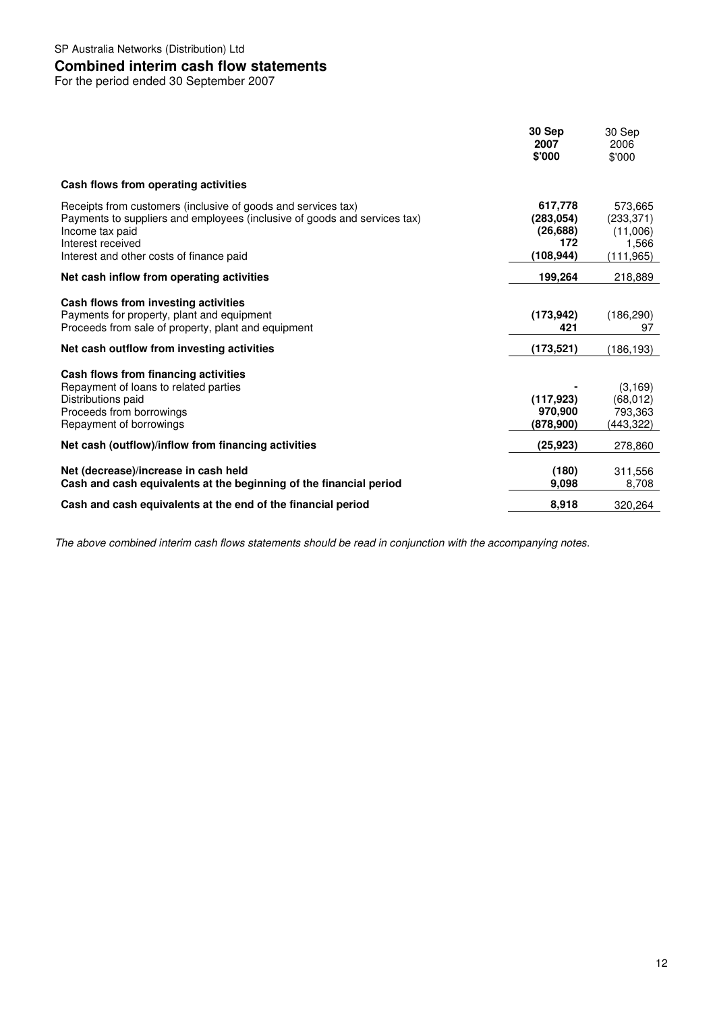## **Combined interim cash flow statements**

For the period ended 30 September 2007

|                                                                                                                                                                                                                                | 30 Sep<br>2007<br>\$'000                               | 30 Sep<br>2006<br>\$'000                                |
|--------------------------------------------------------------------------------------------------------------------------------------------------------------------------------------------------------------------------------|--------------------------------------------------------|---------------------------------------------------------|
| Cash flows from operating activities                                                                                                                                                                                           |                                                        |                                                         |
| Receipts from customers (inclusive of goods and services tax)<br>Payments to suppliers and employees (inclusive of goods and services tax)<br>Income tax paid<br>Interest received<br>Interest and other costs of finance paid | 617,778<br>(283, 054)<br>(26, 688)<br>172<br>(108,944) | 573.665<br>(233, 371)<br>(11,006)<br>1,566<br>(111,965) |
| Net cash inflow from operating activities                                                                                                                                                                                      | 199,264                                                | 218,889                                                 |
| Cash flows from investing activities<br>Payments for property, plant and equipment<br>Proceeds from sale of property, plant and equipment                                                                                      | (173, 942)<br>421                                      | (186, 290)<br>97                                        |
| Net cash outflow from investing activities                                                                                                                                                                                     | (173, 521)                                             | (186,193)                                               |
| Cash flows from financing activities<br>Repayment of loans to related parties<br>Distributions paid<br>Proceeds from borrowings<br>Repayment of borrowings                                                                     | (117, 923)<br>970,900<br>(878,900)                     | (3, 169)<br>(68,012)<br>793,363<br>(443,322)            |
| Net cash (outflow)/inflow from financing activities                                                                                                                                                                            | (25,923)                                               | 278,860                                                 |
| Net (decrease)/increase in cash held<br>Cash and cash equivalents at the beginning of the financial period                                                                                                                     | (180)<br>9.098                                         | 311.556<br>8,708                                        |
| Cash and cash equivalents at the end of the financial period                                                                                                                                                                   | 8,918                                                  | 320.264                                                 |

The above combined interim cash flows statements should be read in conjunction with the accompanying notes.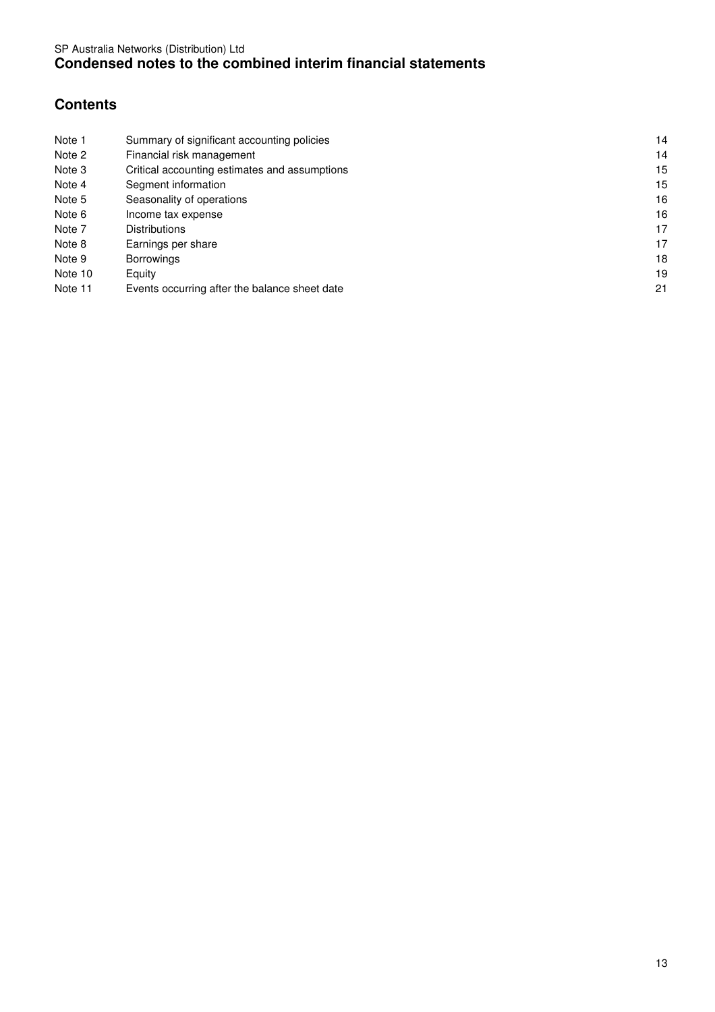# **Contents**

| Note 1  | Summary of significant accounting policies    | 14 |
|---------|-----------------------------------------------|----|
| Note 2  | Financial risk management                     | 14 |
| Note 3  | Critical accounting estimates and assumptions | 15 |
| Note 4  | Segment information                           | 15 |
| Note 5  | Seasonality of operations                     | 16 |
| Note 6  | Income tax expense                            | 16 |
| Note 7  | <b>Distributions</b>                          | 17 |
| Note 8  | Earnings per share                            | 17 |
| Note 9  | <b>Borrowings</b>                             | 18 |
| Note 10 | Equity                                        | 19 |
| Note 11 | Events occurring after the balance sheet date | 21 |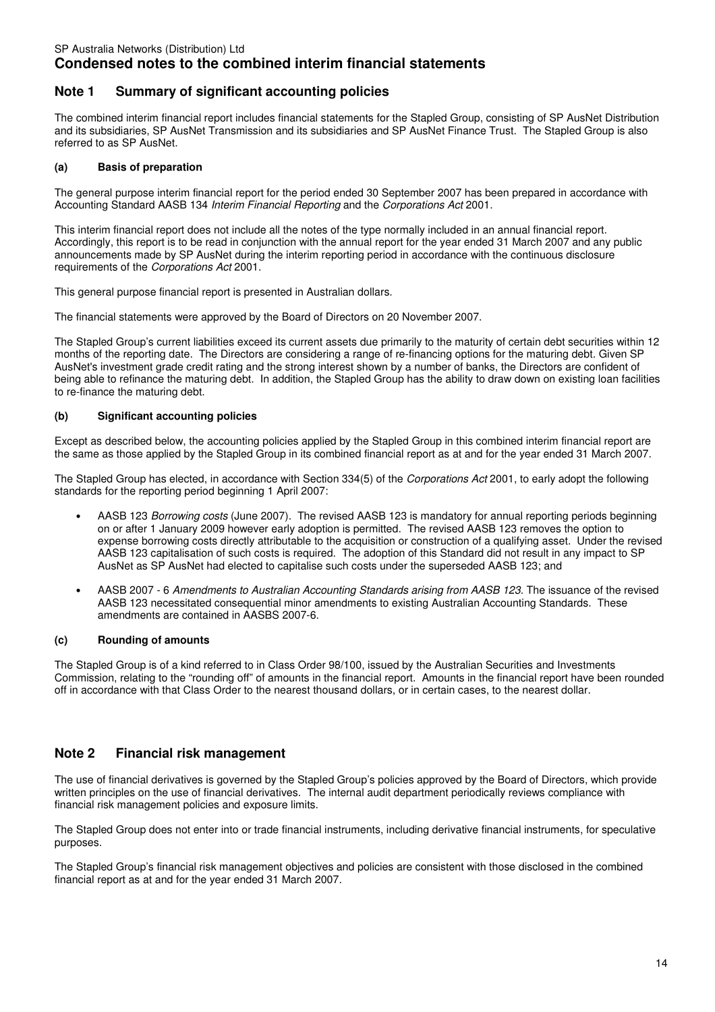## **Note 1 Summary of significant accounting policies**

The combined interim financial report includes financial statements for the Stapled Group, consisting of SP AusNet Distribution and its subsidiaries, SP AusNet Transmission and its subsidiaries and SP AusNet Finance Trust. The Stapled Group is also referred to as SP AusNet.

### **(a) Basis of preparation**

The general purpose interim financial report for the period ended 30 September 2007 has been prepared in accordance with Accounting Standard AASB 134 Interim Financial Reporting and the Corporations Act 2001.

This interim financial report does not include all the notes of the type normally included in an annual financial report. Accordingly, this report is to be read in conjunction with the annual report for the year ended 31 March 2007 and any public announcements made by SP AusNet during the interim reporting period in accordance with the continuous disclosure requirements of the Corporations Act 2001.

This general purpose financial report is presented in Australian dollars.

The financial statements were approved by the Board of Directors on 20 November 2007.

The Stapled Group's current liabilities exceed its current assets due primarily to the maturity of certain debt securities within 12 months of the reporting date. The Directors are considering a range of re-financing options for the maturing debt. Given SP AusNet's investment grade credit rating and the strong interest shown by a number of banks, the Directors are confident of being able to refinance the maturing debt. In addition, the Stapled Group has the ability to draw down on existing loan facilities to re-finance the maturing debt.

### **(b) Significant accounting policies**

Except as described below, the accounting policies applied by the Stapled Group in this combined interim financial report are the same as those applied by the Stapled Group in its combined financial report as at and for the year ended 31 March 2007.

The Stapled Group has elected, in accordance with Section 334(5) of the Corporations Act 2001, to early adopt the following standards for the reporting period beginning 1 April 2007:

- AASB 123 Borrowing costs (June 2007). The revised AASB 123 is mandatory for annual reporting periods beginning on or after 1 January 2009 however early adoption is permitted. The revised AASB 123 removes the option to expense borrowing costs directly attributable to the acquisition or construction of a qualifying asset. Under the revised AASB 123 capitalisation of such costs is required. The adoption of this Standard did not result in any impact to SP AusNet as SP AusNet had elected to capitalise such costs under the superseded AASB 123; and
- AASB 2007 6 Amendments to Australian Accounting Standards arising from AASB 123. The issuance of the revised AASB 123 necessitated consequential minor amendments to existing Australian Accounting Standards. These amendments are contained in AASBS 2007-6.

### **(c) Rounding of amounts**

The Stapled Group is of a kind referred to in Class Order 98/100, issued by the Australian Securities and Investments Commission, relating to the "rounding off" of amounts in the financial report. Amounts in the financial report have been rounded off in accordance with that Class Order to the nearest thousand dollars, or in certain cases, to the nearest dollar.

## **Note 2 Financial risk management**

The use of financial derivatives is governed by the Stapled Group's policies approved by the Board of Directors, which provide written principles on the use of financial derivatives. The internal audit department periodically reviews compliance with financial risk management policies and exposure limits.

The Stapled Group does not enter into or trade financial instruments, including derivative financial instruments, for speculative purposes.

The Stapled Group's financial risk management objectives and policies are consistent with those disclosed in the combined financial report as at and for the year ended 31 March 2007.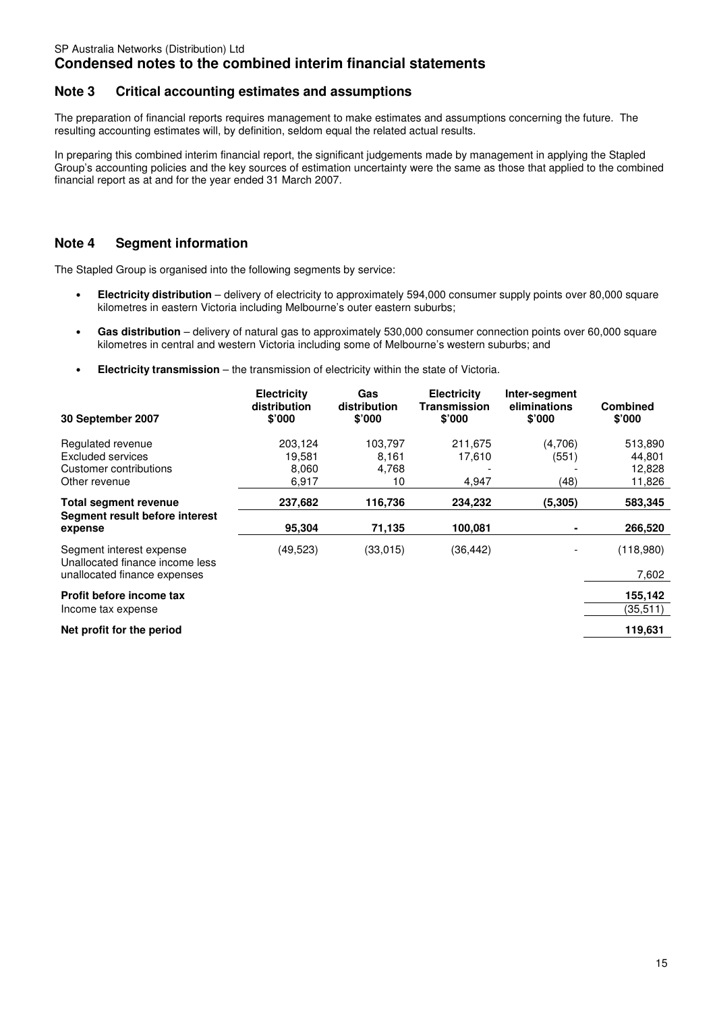# **Condensed notes to the combined interim financial statements**

## **Note 3 Critical accounting estimates and assumptions**

The preparation of financial reports requires management to make estimates and assumptions concerning the future. The resulting accounting estimates will, by definition, seldom equal the related actual results.

In preparing this combined interim financial report, the significant judgements made by management in applying the Stapled Group's accounting policies and the key sources of estimation uncertainty were the same as those that applied to the combined financial report as at and for the year ended 31 March 2007.

## **Note 4 Segment information**

The Stapled Group is organised into the following segments by service:

- **Electricity distribution** delivery of electricity to approximately 594,000 consumer supply points over 80,000 square kilometres in eastern Victoria including Melbourne's outer eastern suburbs;
- **Gas distribution** delivery of natural gas to approximately 530,000 consumer connection points over 60,000 square kilometres in central and western Victoria including some of Melbourne's western suburbs; and
- **Electricity transmission** the transmission of electricity within the state of Victoria.

| 30 September 2007                                                                           | <b>Electricity</b><br>distribution<br>\$'000 | Gas<br>distribution<br>\$'000   | <b>Electricity</b><br><b>Transmission</b><br>\$'000 | Inter-segment<br>eliminations<br>\$'000 | <b>Combined</b><br>\$'000             |
|---------------------------------------------------------------------------------------------|----------------------------------------------|---------------------------------|-----------------------------------------------------|-----------------------------------------|---------------------------------------|
| Regulated revenue<br>Excluded services<br>Customer contributions<br>Other revenue           | 203,124<br>19,581<br>8,060<br>6,917          | 103,797<br>8,161<br>4,768<br>10 | 211,675<br>17,610<br>4,947                          | (4,706)<br>(551)<br>(48)                | 513,890<br>44,801<br>12,828<br>11,826 |
| <b>Total segment revenue</b><br>Segment result before interest<br>expense                   | 237,682<br>95,304                            | 116,736<br>71,135               | 234,232<br>100,081                                  | (5, 305)                                | 583,345<br>266,520                    |
| Segment interest expense<br>Unallocated finance income less<br>unallocated finance expenses | (49, 523)                                    | (33,015)                        | (36, 442)                                           |                                         | (118,980)<br>7,602                    |
| Profit before income tax<br>Income tax expense                                              |                                              |                                 |                                                     |                                         | 155,142<br>(35,511)                   |
| Net profit for the period                                                                   |                                              |                                 |                                                     |                                         | 119,631                               |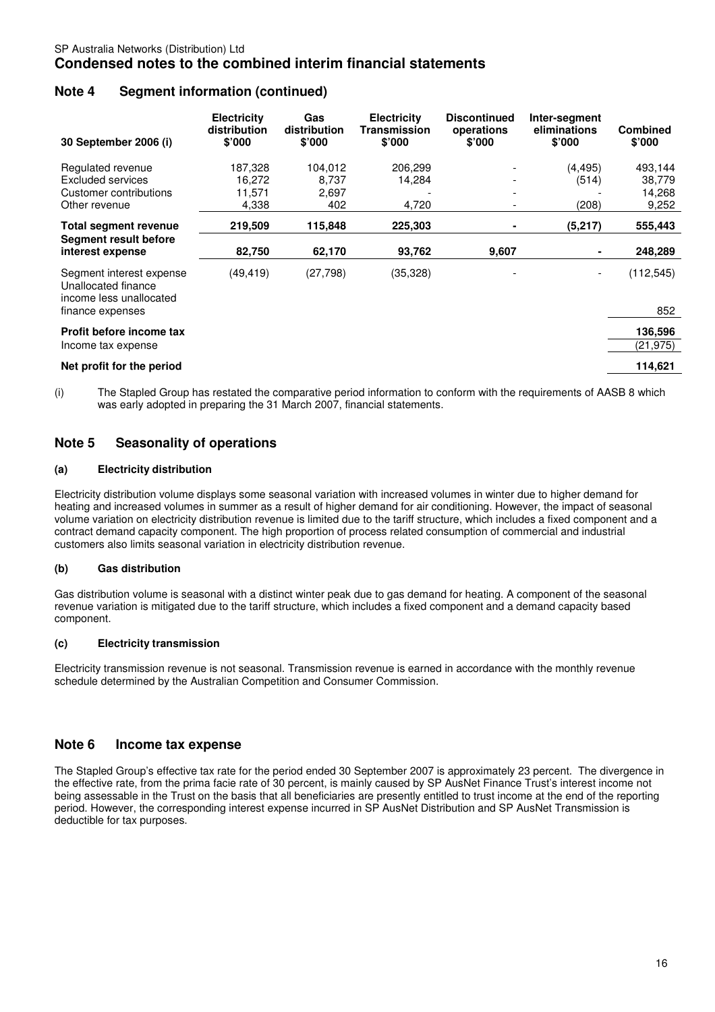# **Condensed notes to the combined interim financial statements**

## **Note 4 Segment information (continued)**

| 30 September 2006 (i)                                                                          | <b>Electricity</b><br>distribution<br>\$'000 | Gas<br>distribution<br>\$'000    | <b>Electricity</b><br>Transmission<br>\$'000 | <b>Discontinued</b><br>operations<br>\$'000 | Inter-segment<br>eliminations<br>\$'000 | <b>Combined</b><br>\$'000            |
|------------------------------------------------------------------------------------------------|----------------------------------------------|----------------------------------|----------------------------------------------|---------------------------------------------|-----------------------------------------|--------------------------------------|
| Regulated revenue<br><b>Excluded services</b><br>Customer contributions<br>Other revenue       | 187,328<br>16,272<br>11,571<br>4,338         | 104,012<br>8,737<br>2,697<br>402 | 206,299<br>14,284<br>4,720                   |                                             | (4, 495)<br>(514)<br>(208)              | 493,144<br>38,779<br>14,268<br>9,252 |
| Total segment revenue<br>Segment result before<br>interest expense                             | 219,509<br>82,750                            | 115,848<br>62,170                | 225,303<br>93,762                            | 9,607                                       | (5,217)                                 | 555,443<br>248,289                   |
| Segment interest expense<br>Unallocated finance<br>income less unallocated<br>finance expenses | (49, 419)                                    | (27, 798)                        | (35, 328)                                    |                                             |                                         | (112, 545)<br>852                    |
| Profit before income tax<br>Income tax expense                                                 |                                              |                                  |                                              |                                             |                                         | 136,596<br>(21,975)                  |
| Net profit for the period                                                                      |                                              |                                  |                                              |                                             |                                         | 114,621                              |

(i) The Stapled Group has restated the comparative period information to conform with the requirements of AASB 8 which was early adopted in preparing the 31 March 2007, financial statements.

## **Note 5 Seasonality of operations**

### **(a) Electricity distribution**

Electricity distribution volume displays some seasonal variation with increased volumes in winter due to higher demand for heating and increased volumes in summer as a result of higher demand for air conditioning. However, the impact of seasonal volume variation on electricity distribution revenue is limited due to the tariff structure, which includes a fixed component and a contract demand capacity component. The high proportion of process related consumption of commercial and industrial customers also limits seasonal variation in electricity distribution revenue.

### **(b) Gas distribution**

Gas distribution volume is seasonal with a distinct winter peak due to gas demand for heating. A component of the seasonal revenue variation is mitigated due to the tariff structure, which includes a fixed component and a demand capacity based component.

### **(c) Electricity transmission**

Electricity transmission revenue is not seasonal. Transmission revenue is earned in accordance with the monthly revenue schedule determined by the Australian Competition and Consumer Commission.

## **Note 6 Income tax expense**

The Stapled Group's effective tax rate for the period ended 30 September 2007 is approximately 23 percent. The divergence in the effective rate, from the prima facie rate of 30 percent, is mainly caused by SP AusNet Finance Trust's interest income not being assessable in the Trust on the basis that all beneficiaries are presently entitled to trust income at the end of the reporting period. However, the corresponding interest expense incurred in SP AusNet Distribution and SP AusNet Transmission is deductible for tax purposes.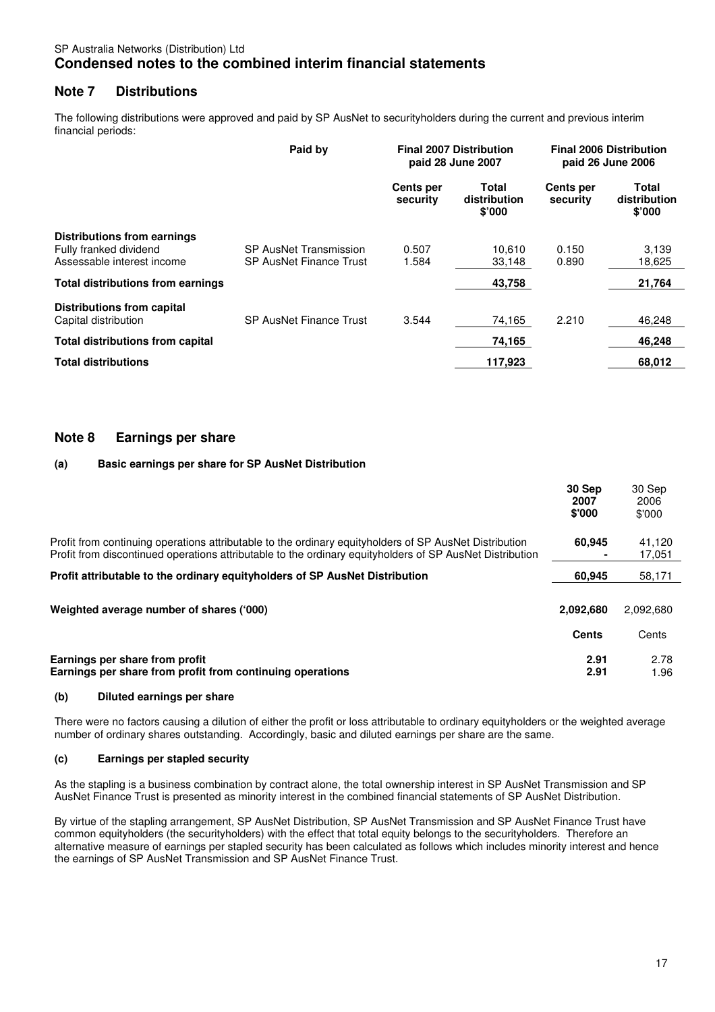## SP Australia Networks (Distribution) Ltd **Condensed notes to the combined interim financial statements**

## **Note 7 Distributions**

The following distributions were approved and paid by SP AusNet to securityholders during the current and previous interim financial periods:

|                                                                                     | Paid by                                           |                       | <b>Final 2007 Distribution</b><br>paid 28 June 2007 | <b>Final 2006 Distribution</b><br>paid 26 June 2006 |                                 |
|-------------------------------------------------------------------------------------|---------------------------------------------------|-----------------------|-----------------------------------------------------|-----------------------------------------------------|---------------------------------|
|                                                                                     |                                                   | Cents per<br>security | Total<br>distribution<br>\$'000                     | Cents per<br>security                               | Total<br>distribution<br>\$'000 |
| Distributions from earnings<br>Fully franked dividend<br>Assessable interest income | SP AusNet Transmission<br>SP AusNet Finance Trust | 0.507<br>1.584        | 10.610<br>33,148                                    | 0.150<br>0.890                                      | 3,139<br>18,625                 |
| <b>Total distributions from earnings</b>                                            |                                                   |                       | 43,758                                              |                                                     | 21,764                          |
| Distributions from capital<br>Capital distribution                                  | <b>SP AusNet Finance Trust</b>                    | 3.544                 | 74,165                                              | 2.210                                               | 46.248                          |
| <b>Total distributions from capital</b>                                             |                                                   |                       | 74,165                                              |                                                     | 46.248                          |
| <b>Total distributions</b>                                                          |                                                   |                       | 117,923                                             |                                                     | 68,012                          |

## **Note 8 Earnings per share**

### **(a) Basic earnings per share for SP AusNet Distribution**

|                                                                                                                                                                                                                    | 30 Sep<br>2007<br>\$'000 | 30 Sep<br>2006<br>\$'000 |
|--------------------------------------------------------------------------------------------------------------------------------------------------------------------------------------------------------------------|--------------------------|--------------------------|
| Profit from continuing operations attributable to the ordinary equityholders of SP AusNet Distribution<br>Profit from discontinued operations attributable to the ordinary equityholders of SP AusNet Distribution | 60.945                   | 41,120<br>17,051         |
| Profit attributable to the ordinary equity holders of SP AusNet Distribution                                                                                                                                       | 60.945                   | 58.171                   |
| Weighted average number of shares ('000)                                                                                                                                                                           | 2,092,680<br>Cents       | 2.092.680<br>Cents       |
| Earnings per share from profit<br>Earnings per share from profit from continuing operations                                                                                                                        | 2.91<br>2.91             | 2.78<br>1.96             |

### **(b) Diluted earnings per share**

There were no factors causing a dilution of either the profit or loss attributable to ordinary equityholders or the weighted average number of ordinary shares outstanding. Accordingly, basic and diluted earnings per share are the same.

### **(c) Earnings per stapled security**

As the stapling is a business combination by contract alone, the total ownership interest in SP AusNet Transmission and SP AusNet Finance Trust is presented as minority interest in the combined financial statements of SP AusNet Distribution.

By virtue of the stapling arrangement, SP AusNet Distribution, SP AusNet Transmission and SP AusNet Finance Trust have common equityholders (the securityholders) with the effect that total equity belongs to the securityholders. Therefore an alternative measure of earnings per stapled security has been calculated as follows which includes minority interest and hence the earnings of SP AusNet Transmission and SP AusNet Finance Trust.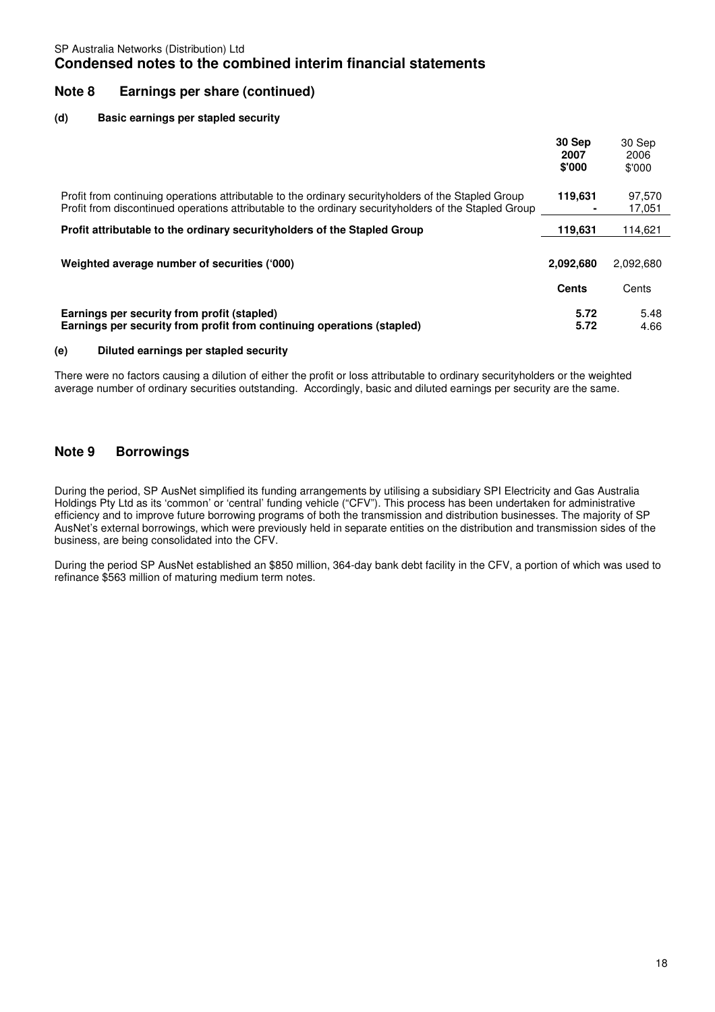## **Note 8 Earnings per share (continued)**

### **(d) Basic earnings per stapled security**

|                                                                                                                                                                                                                | 30 Sep<br>2007<br>\$'000 | 30 Sep<br>2006<br>\$'000 |
|----------------------------------------------------------------------------------------------------------------------------------------------------------------------------------------------------------------|--------------------------|--------------------------|
| Profit from continuing operations attributable to the ordinary security holders of the Stapled Group<br>Profit from discontinued operations attributable to the ordinary security holders of the Stapled Group | 119.631                  | 97,570<br>17,051         |
| Profit attributable to the ordinary security holders of the Stapled Group                                                                                                                                      | 119,631                  | 114.621                  |
| Weighted average number of securities ('000)                                                                                                                                                                   | 2,092,680                | 2.092.680                |
|                                                                                                                                                                                                                | Cents                    | Cents                    |
| Earnings per security from profit (stapled)<br>Earnings per security from profit from continuing operations (stapled)                                                                                          | 5.72<br>5.72             | 5.48<br>4.66             |

### **(e) Diluted earnings per stapled security**

There were no factors causing a dilution of either the profit or loss attributable to ordinary securityholders or the weighted average number of ordinary securities outstanding. Accordingly, basic and diluted earnings per security are the same.

# **Note 9 Borrowings**

During the period, SP AusNet simplified its funding arrangements by utilising a subsidiary SPI Electricity and Gas Australia Holdings Pty Ltd as its 'common' or 'central' funding vehicle ("CFV"). This process has been undertaken for administrative efficiency and to improve future borrowing programs of both the transmission and distribution businesses. The majority of SP AusNet's external borrowings, which were previously held in separate entities on the distribution and transmission sides of the business, are being consolidated into the CFV.

During the period SP AusNet established an \$850 million, 364-day bank debt facility in the CFV, a portion of which was used to refinance \$563 million of maturing medium term notes.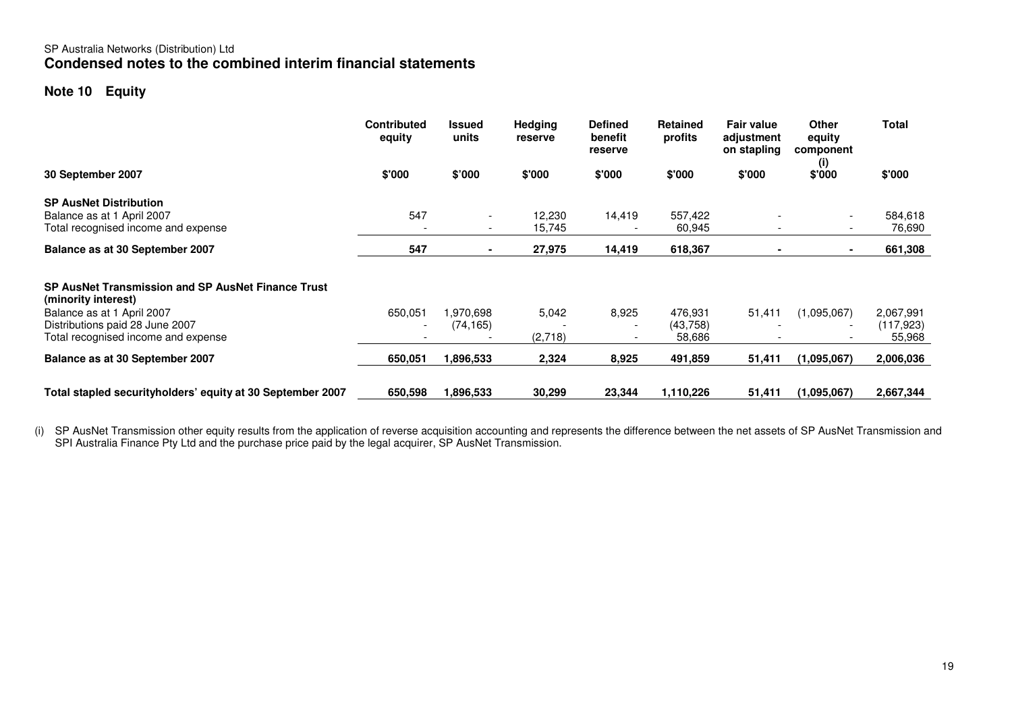## SP Australia Networks (Distribution) Ltd **Condensed notes to the combined interim financial statements**

# **Note 10 Equity**

|                                                                                                      | <b>Contributed</b><br>equity | <b>Issued</b><br>units                               | <b>Hedging</b><br>reserve | <b>Defined</b><br>benefit<br>reserve | <b>Retained</b><br>profits    | <b>Fair value</b><br>adjustment<br>on stapling | <b>Other</b><br>equity<br>component | <b>Total</b>                      |
|------------------------------------------------------------------------------------------------------|------------------------------|------------------------------------------------------|---------------------------|--------------------------------------|-------------------------------|------------------------------------------------|-------------------------------------|-----------------------------------|
| 30 September 2007                                                                                    | \$'000                       | \$'000                                               | \$'000                    | \$'000                               | \$'000                        | \$'000                                         | (i)<br>\$'000                       | \$'000                            |
| <b>SP AusNet Distribution</b><br>Balance as at 1 April 2007<br>Total recognised income and expense   | 547                          | $\overline{\phantom{a}}$<br>$\overline{\phantom{a}}$ | 12,230<br>15,745          | 14,419                               | 557,422<br>60,945             |                                                | $\overline{\phantom{a}}$            | 584,618<br>76,690                 |
| Balance as at 30 September 2007                                                                      | 547                          |                                                      | 27,975                    | 14,419                               | 618,367                       |                                                | $\blacksquare$                      | 661,308                           |
| SP AusNet Transmission and SP AusNet Finance Trust<br>(minority interest)                            |                              |                                                      |                           |                                      |                               |                                                |                                     |                                   |
| Balance as at 1 April 2007<br>Distributions paid 28 June 2007<br>Total recognised income and expense | 650,051                      | 1,970,698<br>(74, 165)                               | 5,042<br>(2,718)          | 8,925                                | 476,931<br>(43,758)<br>58,686 | 51,411                                         | (1,095,067)                         | 2,067,991<br>(117, 923)<br>55,968 |
| Balance as at 30 September 2007                                                                      | 650,051                      | 1,896,533                                            | 2,324                     | 8,925                                | 491,859                       | 51,411                                         | (1,095,067)                         | 2,006,036                         |
| Total stapled securityholders' equity at 30 September 2007                                           | 650,598                      | .896.533                                             | 30,299                    | 23,344                               | 1,110,226                     | 51,411                                         | (1.095.067)                         | 2,667,344                         |

(i) SP AusNet Transmission other equity results from the application of reverse acquisition accounting and represents the difference between the net assets of SP AusNet Transmission and<br>SPI Australia Finance Pty Ltd and th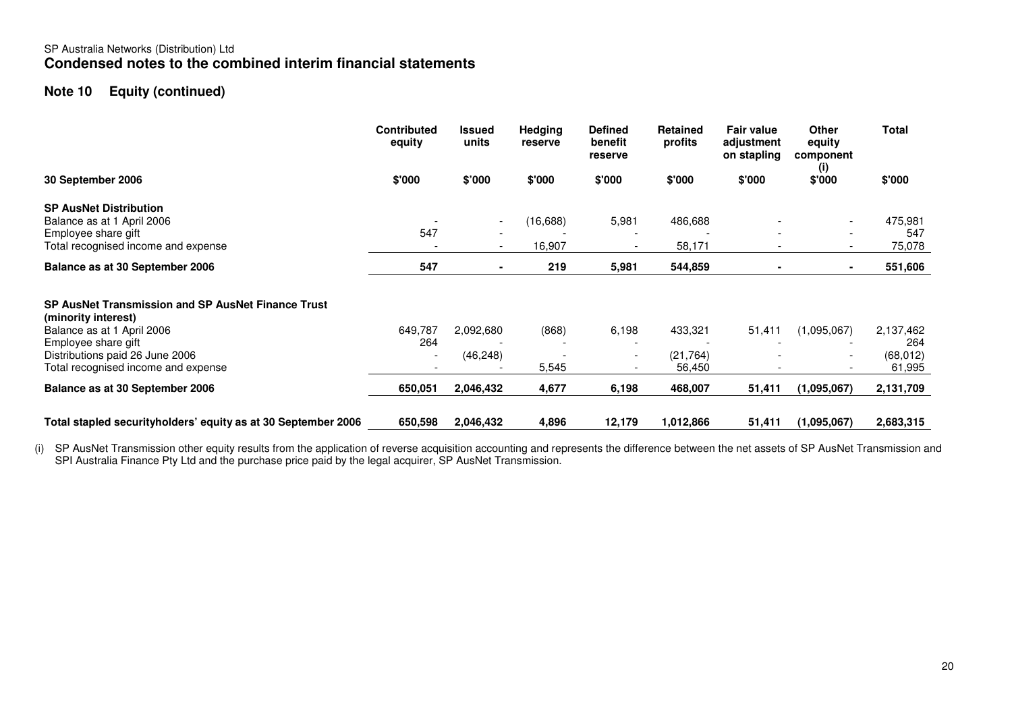## SP Australia Networks (Distribution) Ltd **Condensed notes to the combined interim financial statements**

# **Note 10 Equity (continued)**

|                                                                                                         | <b>Contributed</b><br>equity | <b>Issued</b><br>units   | <b>Hedging</b><br>reserve | <b>Defined</b><br>benefit<br>reserve | <b>Retained</b><br>profits | <b>Fair value</b><br>adjustment<br>on stapling | <b>Other</b><br>equity<br>component<br>(i) | <b>Total</b>        |
|---------------------------------------------------------------------------------------------------------|------------------------------|--------------------------|---------------------------|--------------------------------------|----------------------------|------------------------------------------------|--------------------------------------------|---------------------|
| 30 September 2006                                                                                       | \$'000                       | \$'000                   | \$'000                    | \$'000                               | \$'000                     | \$'000                                         | \$'000                                     | \$'000              |
| <b>SP AusNet Distribution</b>                                                                           |                              |                          |                           |                                      |                            |                                                |                                            |                     |
| Balance as at 1 April 2006                                                                              |                              | $\overline{\phantom{a}}$ | (16, 688)                 | 5,981                                | 486,688                    |                                                |                                            | 475,981             |
| Employee share gift                                                                                     | 547                          |                          |                           |                                      |                            |                                                |                                            | 547                 |
| Total recognised income and expense                                                                     |                              | $\overline{\phantom{a}}$ | 16,907                    |                                      | 58,171                     |                                                | $\overline{\phantom{a}}$                   | 75,078              |
| Balance as at 30 September 2006                                                                         | 547                          | $\blacksquare$           | 219                       | 5,981                                | 544,859                    | $\blacksquare$                                 | $\blacksquare$                             | 551,606             |
| SP AusNet Transmission and SP AusNet Finance Trust<br>(minority interest)<br>Balance as at 1 April 2006 | 649,787                      | 2,092,680                | (868)                     | 6,198                                | 433,321                    | 51,411                                         | (1,095,067)                                | 2,137,462           |
| Employee share gift                                                                                     | 264                          |                          |                           |                                      |                            |                                                |                                            | 264                 |
| Distributions paid 26 June 2006<br>Total recognised income and expense                                  |                              | (46, 248)                | 5,545                     |                                      | (21, 764)<br>56,450        |                                                |                                            | (68, 012)<br>61,995 |
| Balance as at 30 September 2006                                                                         | 650,051                      | 2,046,432                | 4,677                     | 6,198                                | 468,007                    | 51,411                                         | (1,095,067)                                | 2,131,709           |
| Total stapled securityholders' equity as at 30 September 2006                                           | 650,598                      | 2,046,432                | 4,896                     | 12,179                               | 1,012,866                  | 51,411                                         | (1,095,067)                                | 2,683,315           |

(i) SP AusNet Transmission other equity results from the application of reverse acquisition accounting and represents the difference between the net assets of SP AusNet Transmission and<br>SPI Australia Finance Pty Ltd and th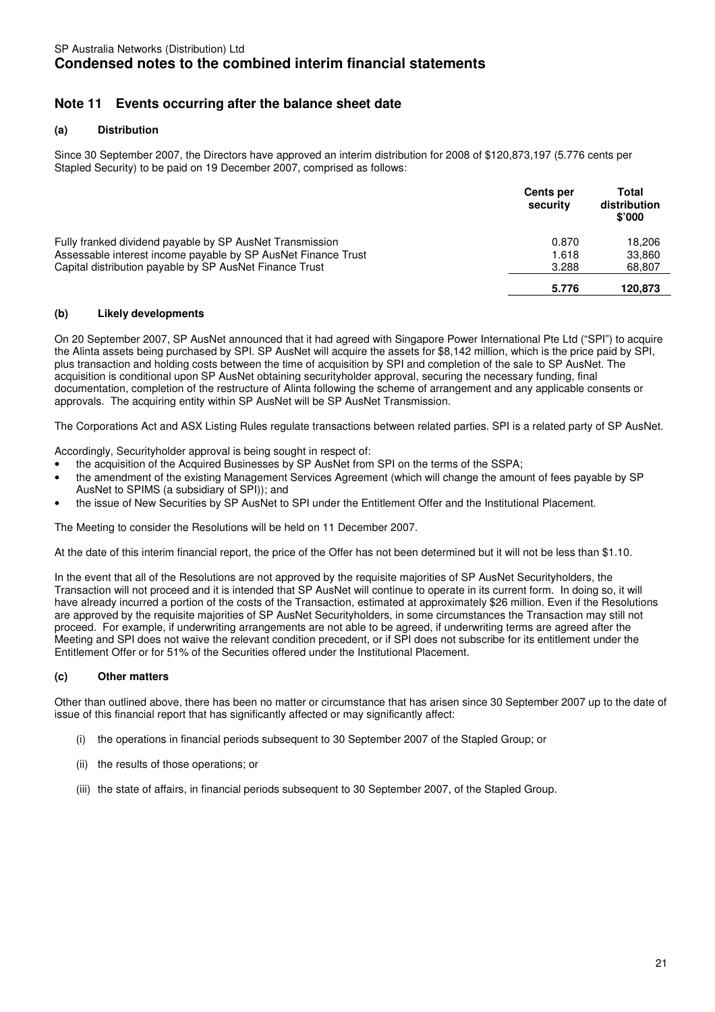# **Note 11 Events occurring after the balance sheet date**

### **(a) Distribution**

Since 30 September 2007, the Directors have approved an interim distribution for 2008 of \$120,873,197 (5.776 cents per Stapled Security) to be paid on 19 December 2007, comprised as follows:

|                                                               | <b>Cents per</b><br>security | Total<br>distribution<br>\$'000 |
|---------------------------------------------------------------|------------------------------|---------------------------------|
| Fully franked dividend payable by SP AusNet Transmission      | 0.870                        | 18.206                          |
| Assessable interest income payable by SP AusNet Finance Trust | 1.618                        | 33,860                          |
| Capital distribution payable by SP AusNet Finance Trust       | 3.288                        | 68,807                          |
|                                                               | 5.776                        | 120.873                         |

### **(b) Likely developments**

On 20 September 2007, SP AusNet announced that it had agreed with Singapore Power International Pte Ltd ("SPI") to acquire the Alinta assets being purchased by SPI. SP AusNet will acquire the assets for \$8,142 million, which is the price paid by SPI, plus transaction and holding costs between the time of acquisition by SPI and completion of the sale to SP AusNet. The acquisition is conditional upon SP AusNet obtaining securityholder approval, securing the necessary funding, final documentation, completion of the restructure of Alinta following the scheme of arrangement and any applicable consents or approvals. The acquiring entity within SP AusNet will be SP AusNet Transmission.

The Corporations Act and ASX Listing Rules regulate transactions between related parties. SPI is a related party of SP AusNet.

Accordingly, Securityholder approval is being sought in respect of:

- the acquisition of the Acquired Businesses by SP AusNet from SPI on the terms of the SSPA;
- the amendment of the existing Management Services Agreement (which will change the amount of fees payable by SP AusNet to SPIMS (a subsidiary of SPI)); and
- the issue of New Securities by SP AusNet to SPI under the Entitlement Offer and the Institutional Placement.

The Meeting to consider the Resolutions will be held on 11 December 2007.

At the date of this interim financial report, the price of the Offer has not been determined but it will not be less than \$1.10.

In the event that all of the Resolutions are not approved by the requisite majorities of SP AusNet Securityholders, the Transaction will not proceed and it is intended that SP AusNet will continue to operate in its current form. In doing so, it will have already incurred a portion of the costs of the Transaction, estimated at approximately \$26 million. Even if the Resolutions are approved by the requisite majorities of SP AusNet Securityholders, in some circumstances the Transaction may still not proceed. For example, if underwriting arrangements are not able to be agreed, if underwriting terms are agreed after the Meeting and SPI does not waive the relevant condition precedent, or if SPI does not subscribe for its entitlement under the Entitlement Offer or for 51% of the Securities offered under the Institutional Placement.

### **(c) Other matters**

Other than outlined above, there has been no matter or circumstance that has arisen since 30 September 2007 up to the date of issue of this financial report that has significantly affected or may significantly affect:

- (i) the operations in financial periods subsequent to 30 September 2007 of the Stapled Group; or
- (ii) the results of those operations; or
- (iii) the state of affairs, in financial periods subsequent to 30 September 2007, of the Stapled Group.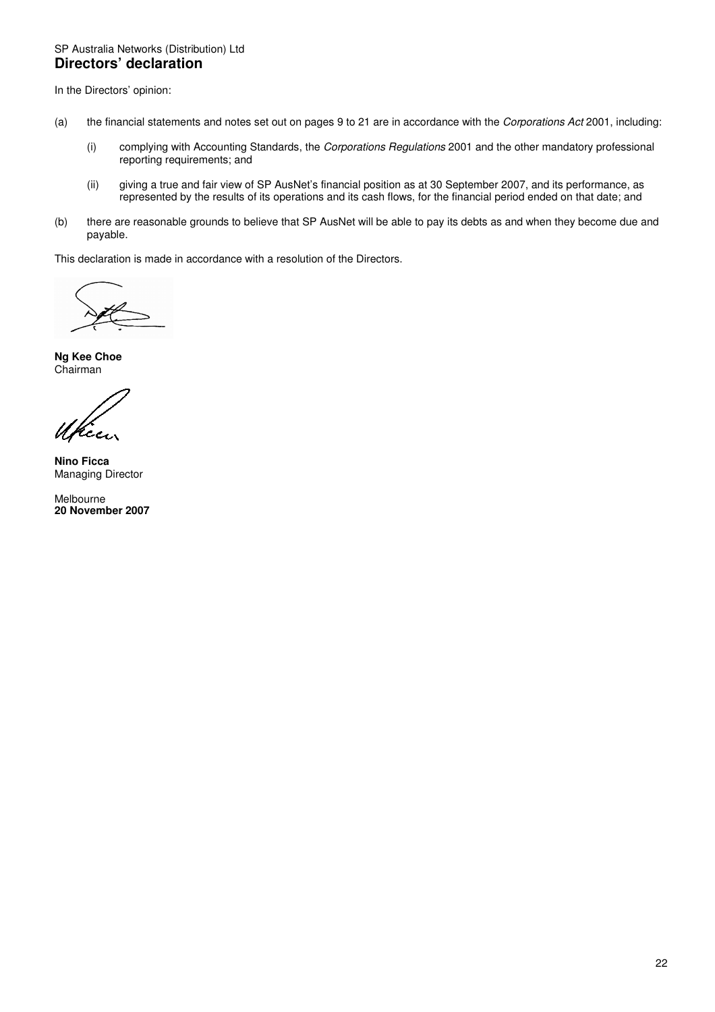## SP Australia Networks (Distribution) Ltd **Directors' declaration**

In the Directors' opinion:

- (a) the financial statements and notes set out on pages 9 to 21 are in accordance with the Corporations Act 2001, including:
	- (i) complying with Accounting Standards, the Corporations Regulations 2001 and the other mandatory professional reporting requirements; and
	- (ii) giving a true and fair view of SP AusNet's financial position as at 30 September 2007, and its performance, as represented by the results of its operations and its cash flows, for the financial period ended on that date; and
- (b) there are reasonable grounds to believe that SP AusNet will be able to pay its debts as and when they become due and payable.

This declaration is made in accordance with a resolution of the Directors.

**Ng Kee Choe**  Chairman

rce.

**Nino Ficca**  Managing Director

Melbourne **20 November 2007**